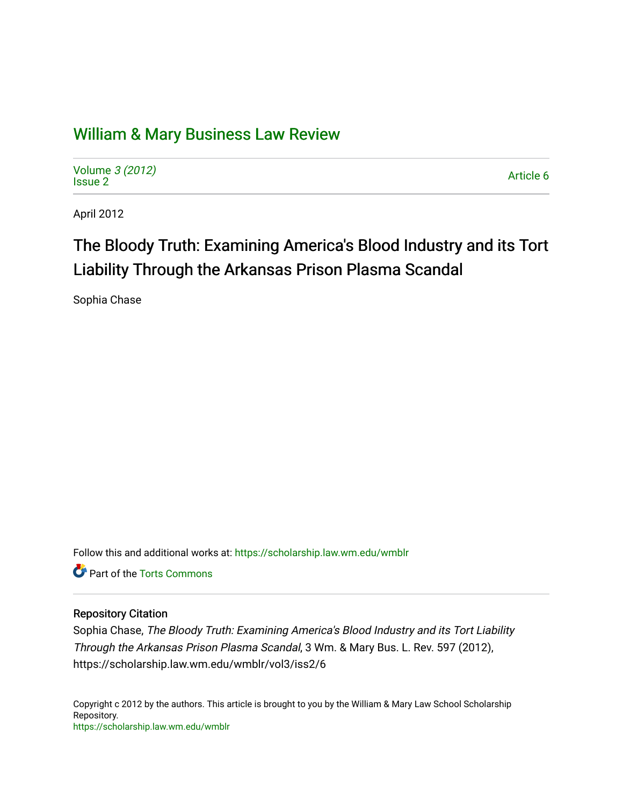# [William & Mary Business Law Review](https://scholarship.law.wm.edu/wmblr)

Volume [3 \(2012\)](https://scholarship.law.wm.edu/wmblr/vol3) volume 5 (2012)<br>[Issue 2](https://scholarship.law.wm.edu/wmblr/vol3/iss2) Article 6

April 2012

# The Bloody Truth: Examining America's Blood Industry and its Tort Liability Through the Arkansas Prison Plasma Scandal

Sophia Chase

Follow this and additional works at: [https://scholarship.law.wm.edu/wmblr](https://scholarship.law.wm.edu/wmblr?utm_source=scholarship.law.wm.edu%2Fwmblr%2Fvol3%2Fiss2%2F6&utm_medium=PDF&utm_campaign=PDFCoverPages) 

Part of the [Torts Commons](http://network.bepress.com/hgg/discipline/913?utm_source=scholarship.law.wm.edu%2Fwmblr%2Fvol3%2Fiss2%2F6&utm_medium=PDF&utm_campaign=PDFCoverPages)

# Repository Citation

Sophia Chase, The Bloody Truth: Examining America's Blood Industry and its Tort Liability Through the Arkansas Prison Plasma Scandal, 3 Wm. & Mary Bus. L. Rev. 597 (2012), https://scholarship.law.wm.edu/wmblr/vol3/iss2/6

Copyright c 2012 by the authors. This article is brought to you by the William & Mary Law School Scholarship Repository. <https://scholarship.law.wm.edu/wmblr>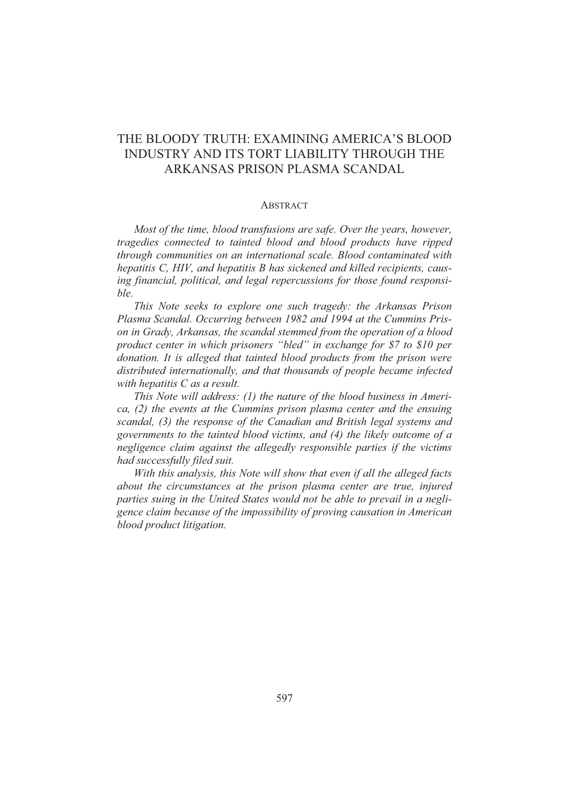# THE BLOODY TRUTH: EXAMINING AMERICA'S BLOOD INDUSTRY AND ITS TORT LIABILITY THROUGH THE ARKANSAS PRISON PLASMA SCANDAL

#### **ABSTRACT**

*Most of the time, blood transfusions are safe. Over the years, however, tragedies connected to tainted blood and blood products have ripped through communities on an international scale. Blood contaminated with hepatitis C, HIV, and hepatitis B has sickened and killed recipients, causing financial, political, and legal repercussions for those found responsible.* 

*This Note seeks to explore one such tragedy: the Arkansas Prison Plasma Scandal. Occurring between 1982 and 1994 at the Cummins Prison in Grady, Arkansas, the scandal stemmed from the operation of a blood product center in which prisoners "bled" in exchange for \$7 to \$10 per donation. It is alleged that tainted blood products from the prison were distributed internationally, and that thousands of people became infected with hepatitis C as a result.* 

*This Note will address: (1) the nature of the blood business in America, (2) the events at the Cummins prison plasma center and the ensuing scandal, (3) the response of the Canadian and British legal systems and governments to the tainted blood victims, and (4) the likely outcome of a negligence claim against the allegedly responsible parties if the victims had successfully filed suit.* 

*With this analysis, this Note will show that even if all the alleged facts about the circumstances at the prison plasma center are true, injured parties suing in the United States would not be able to prevail in a negligence claim because of the impossibility of proving causation in American blood product litigation.*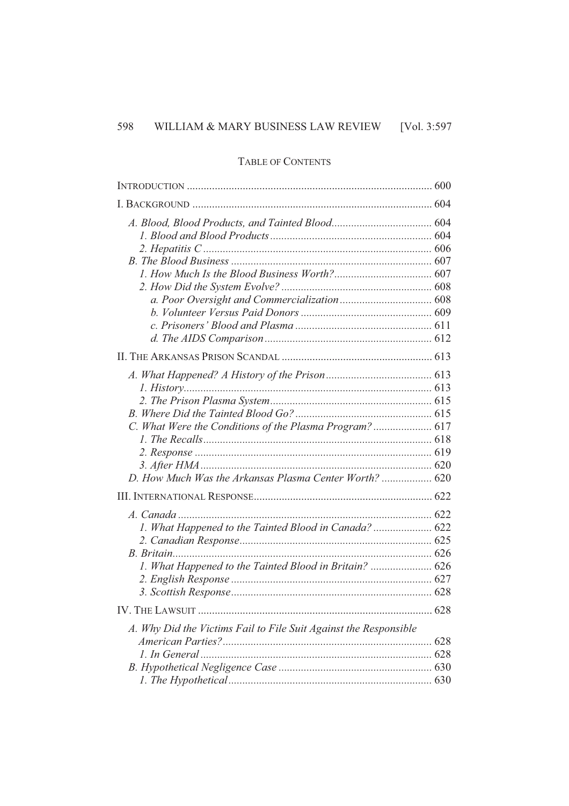# TABLE OF CONTENTS

| C. What Were the Conditions of the Plasma Program?  617<br>D. How Much Was the Arkansas Plasma Center Worth?  620 |      |
|-------------------------------------------------------------------------------------------------------------------|------|
|                                                                                                                   |      |
| 1. What Happened to the Tainted Blood in Canada?  622<br>1. What Happened to the Tainted Blood in Britain?  626   |      |
| IV. THE LAWSUIT                                                                                                   | .628 |
| A. Why Did the Victims Fail to File Suit Against the Responsible                                                  |      |
|                                                                                                                   |      |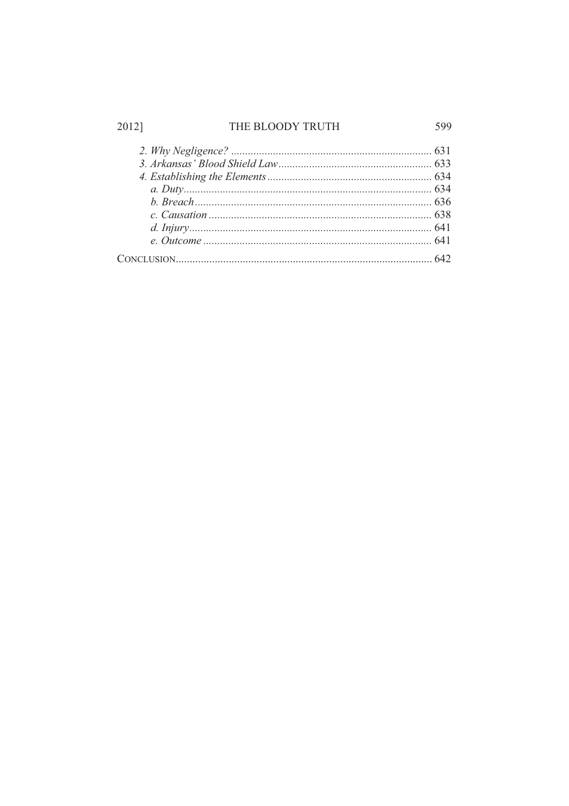# THE BLOODY TRUTH

2012]

599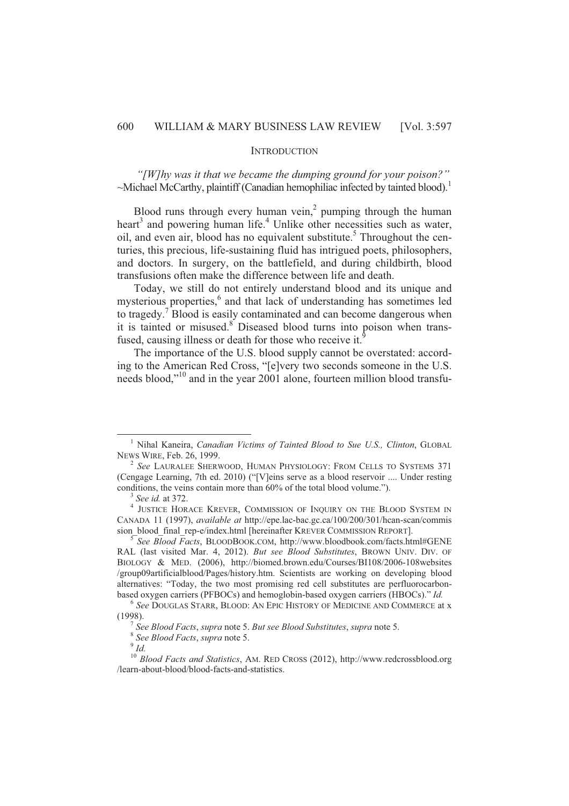#### **INTRODUCTION**

*"[W]hy was it that we became the dumping ground for your poison?"*   $\sim$ Michael McCarthy, plaintiff (Canadian hemophiliac infected by tainted blood).<sup>1</sup>

Blood runs through every human vein, $\lambda$  pumping through the human heart<sup>3</sup> and powering human life.<sup>4</sup> Unlike other necessities such as water, oil, and even air, blood has no equivalent substitute.<sup>5</sup> Throughout the centuries, this precious, life-sustaining fluid has intrigued poets, philosophers, and doctors. In surgery, on the battlefield, and during childbirth, blood transfusions often make the difference between life and death.

Today, we still do not entirely understand blood and its unique and mysterious properties,<sup>6</sup> and that lack of understanding has sometimes led to tragedy.<sup>7</sup> Blood is easily contaminated and can become dangerous when it is tainted or misused.<sup>8</sup> Diseased blood turns into poison when transfused, causing illness or death for those who receive it.

The importance of the U.S. blood supply cannot be overstated: according to the American Red Cross, "[e]very two seconds someone in the U.S. needs blood,"<sup>10</sup> and in the year 2001 alone, fourteen million blood transfu-

<sup>1</sup> Nihal Kaneira, *Canadian Victims of Tainted Blood to Sue U.S., Clinton*, GLOBAL NEWS WIRE, Feb. 26, 1999.

<sup>2</sup> *See* LAURALEE SHERWOOD, HUMAN PHYSIOLOGY: FROM CELLS TO SYSTEMS 371 (Cengage Learning, 7th ed. 2010) ("[V]eins serve as a blood reservoir .... Under resting conditions, the veins contain more than 60% of the total blood volume.").

<sup>3</sup> *See id.* at 372.

<sup>4</sup> JUSTICE HORACE KREVER, COMMISSION OF INQUIRY ON THE BLOOD SYSTEM IN CANADA 11 (1997), *available at* http://epe.lac-bac.gc.ca/100/200/301/hcan-scan/commis sion\_blood\_final\_rep-e/index.html [hereinafter KREVER COMMISSION REPORT].

<sup>5</sup> *See Blood Facts*, BLOODBOOK.COM, http://www.bloodbook.com/facts.html#GENE RAL (last visited Mar. 4, 2012). *But see Blood Substitutes*, BROWN UNIV. DIV. OF BIOLOGY & MED. (2006), http://biomed.brown.edu/Courses/BI108/2006-108websites /group09artificialblood/Pages/history.htm. Scientists are working on developing blood alternatives: "Today, the two most promising red cell substitutes are perfluorocarbonbased oxygen carriers (PFBOCs) and hemoglobin-based oxygen carriers (HBOCs)." *Id.*

<sup>6</sup> *See* DOUGLAS STARR, BLOOD: AN EPIC HISTORY OF MEDICINE AND COMMERCE at x (1998).

<sup>7</sup> *See Blood Facts*, *supra* note 5. *But see Blood Substitutes*, *supra* note 5.

<sup>8</sup> *See Blood Facts*, *supra* note 5.

<sup>9</sup>  *Id.*

<sup>10</sup> *Blood Facts and Statistics*, AM. RED CROSS (2012), http://www.redcrossblood.org /learn-about-blood/blood-facts-and-statistics.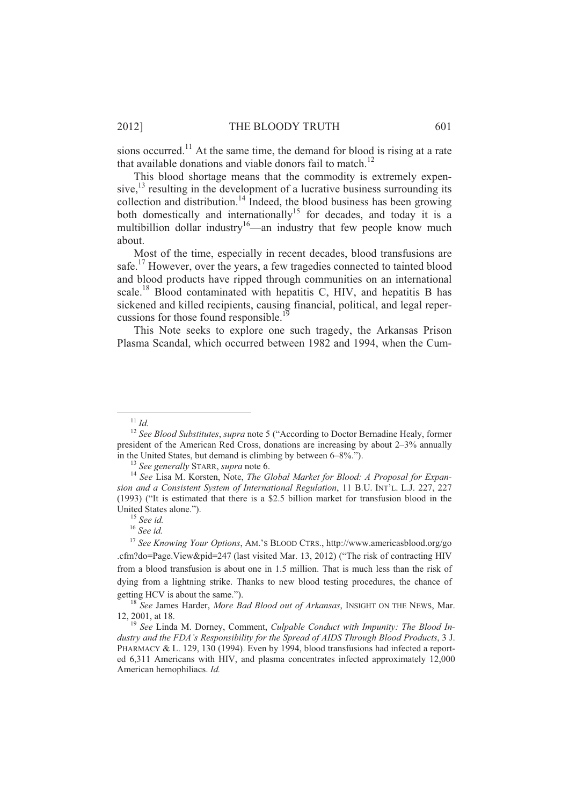sions occurred.<sup>11</sup> At the same time, the demand for blood is rising at a rate that available donations and viable donors fail to match.<sup>12</sup>

This blood shortage means that the commodity is extremely expensive, $^{13}$  resulting in the development of a lucrative business surrounding its collection and distribution.<sup>14</sup> Indeed, the blood business has been growing both domestically and internationally<sup>15</sup> for decades, and today it is a multibillion dollar industry<sup>16</sup>—an industry that few people know much about.

Most of the time, especially in recent decades, blood transfusions are safe.<sup>17</sup> However, over the years, a few tragedies connected to tainted blood and blood products have ripped through communities on an international scale.<sup>18</sup> Blood contaminated with hepatitis C, HIV, and hepatitis B has sickened and killed recipients, causing financial, political, and legal repercussions for those found responsible.<sup>1</sup>

This Note seeks to explore one such tragedy, the Arkansas Prison Plasma Scandal, which occurred between 1982 and 1994, when the Cum-

<sup>11</sup> *Id.*

<sup>12</sup> *See Blood Substitutes*, *supra* note 5 ("According to Doctor Bernadine Healy, former president of the American Red Cross, donations are increasing by about 2–3% annually in the United States, but demand is climbing by between 6–8%.").

<sup>13</sup> *See generally* STARR, *supra* note 6.

<sup>14</sup> *See* Lisa M. Korsten, Note, *The Global Market for Blood: A Proposal for Expansion and a Consistent System of International Regulation*, 11 B.U. INT'L. L.J. 227, 227 (1993) ("It is estimated that there is a \$2.5 billion market for transfusion blood in the United States alone.").

<sup>15</sup> *See id.*

<sup>16</sup> *See id.*

<sup>17</sup> *See Knowing Your Options*, AM.'S BLOOD CTRS., http://www.americasblood.org/go .cfm?do=Page.View&pid=247 (last visited Mar. 13, 2012) ("The risk of contracting HIV from a blood transfusion is about one in 1.5 million. That is much less than the risk of dying from a lightning strike. Thanks to new blood testing procedures, the chance of getting HCV is about the same.").

<sup>&</sup>lt;sup>18</sup> See James Harder, *More Bad Blood out of Arkansas*, INSIGHT ON THE NEWS, Mar. 12, 2001, at 18.

<sup>19</sup> *See* Linda M. Dorney, Comment, *Culpable Conduct with Impunity: The Blood Industry and the FDA's Responsibility for the Spread of AIDS Through Blood Products*, 3 J. PHARMACY & L. 129, 130 (1994). Even by 1994, blood transfusions had infected a reported 6,311 Americans with HIV, and plasma concentrates infected approximately 12,000 American hemophiliacs. *Id.*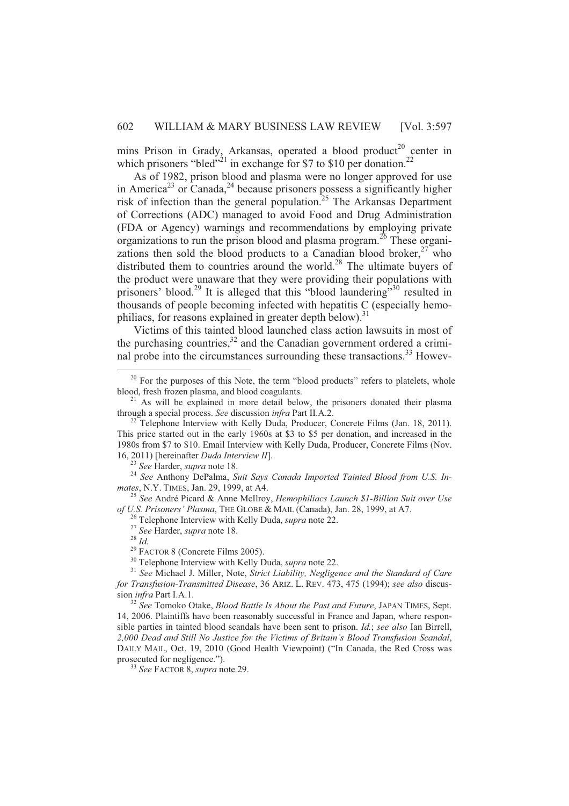mins Prison in Grady, Arkansas, operated a blood product<sup>20</sup> center in which prisoners "bled"<sup>21</sup> in exchange for \$7 to \$10 per donation.<sup>22</sup>

As of 1982, prison blood and plasma were no longer approved for use in America<sup>23</sup> or Canada,<sup>24</sup> because prisoners possess a significantly higher risk of infection than the general population.<sup>25</sup> The Arkansas Department of Corrections (ADC) managed to avoid Food and Drug Administration (FDA or Agency) warnings and recommendations by employing private organizations to run the prison blood and plasma program.<sup>26</sup> These organizations then sold the blood products to a Canadian blood broker,  $27$  who distributed them to countries around the world.<sup>28</sup> The ultimate buyers of the product were unaware that they were providing their populations with prisoners' blood.<sup>29</sup> It is alleged that this "blood laundering"<sup>30</sup> resulted in thousands of people becoming infected with hepatitis C (especially hemophiliacs, for reasons explained in greater depth below).<sup>31</sup>

Victims of this tainted blood launched class action lawsuits in most of the purchasing countries, $32$  and the Canadian government ordered a criminal probe into the circumstances surrounding these transactions.<sup>33</sup> Howev-

<sup>25</sup> *See* André Picard & Anne McIlroy, *Hemophiliacs Launch \$1-Billion Suit over Use of U.S. Prisoners' Plasma*, THE GLOBE & MAIL (Canada), Jan. 28, 1999, at A7.

<sup>26</sup> Telephone Interview with Kelly Duda, *supra* note 22.

<sup>28</sup> *Id.*

l

<sup>30</sup> Telephone Interview with Kelly Duda, *supra* note 22.

 $20$  For the purposes of this Note, the term "blood products" refers to platelets, whole blood, fresh frozen plasma, and blood coagulants.

<sup>&</sup>lt;sup>21</sup> As will be explained in more detail below, the prisoners donated their plasma through a special process. *See* discussion *infra* Part II.A.2.

 $^{22}$  Telephone Interview with Kelly Duda, Producer, Concrete Films (Jan. 18, 2011). This price started out in the early 1960s at \$3 to \$5 per donation, and increased in the 1980s from \$7 to \$10. Email Interview with Kelly Duda, Producer, Concrete Films (Nov. 16, 2011) [hereinafter *Duda Interview II*].

<sup>23</sup> *See* Harder, *supra* note 18.

<sup>24</sup> *See* Anthony DePalma, *Suit Says Canada Imported Tainted Blood from U.S. Inmates*, N.Y.TIMES, Jan. 29, 1999, at A4.

<sup>27</sup> *See* Harder, *supra* note 18.

 $29$  FACTOR 8 (Concrete Films 2005).

<sup>31</sup> *See* Michael J. Miller, Note, *Strict Liability, Negligence and the Standard of Care for Transfusion-Transmitted Disease*, 36 ARIZ. L. REV. 473, 475 (1994); *see also* discussion *infra* Part I.A.1.

<sup>32</sup> *See* Tomoko Otake, *Blood Battle Is About the Past and Future*, JAPAN TIMES, Sept. 14, 2006. Plaintiffs have been reasonably successful in France and Japan, where responsible parties in tainted blood scandals have been sent to prison. *Id.*; *see also* Ian Birrell, *2,000 Dead and Still No Justice for the Victims of Britain's Blood Transfusion Scandal*, DAILY MAIL, Oct. 19, 2010 (Good Health Viewpoint) ("In Canada, the Red Cross was prosecuted for negligence.").

<sup>33</sup> *See* FACTOR 8, *supra* note 29.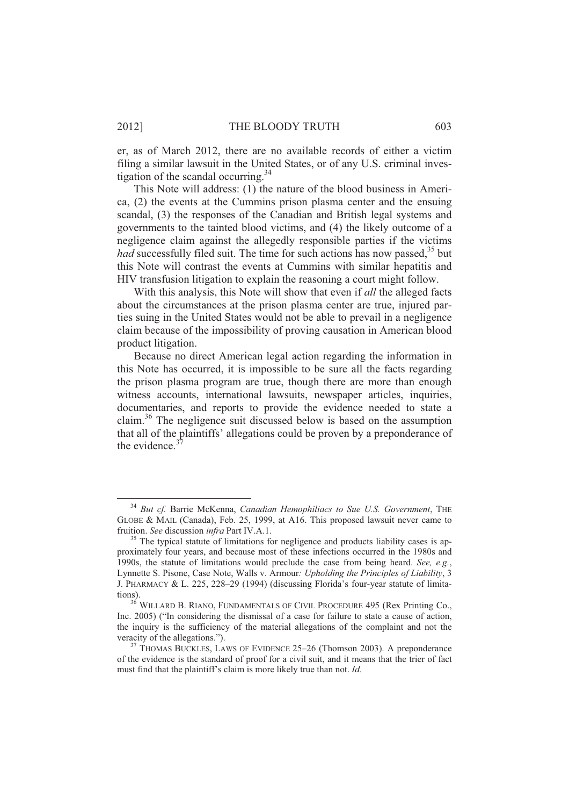er, as of March 2012, there are no available records of either a victim filing a similar lawsuit in the United States, or of any U.S. criminal investigation of the scandal occurring. $34$ 

This Note will address: (1) the nature of the blood business in America, (2) the events at the Cummins prison plasma center and the ensuing scandal, (3) the responses of the Canadian and British legal systems and governments to the tainted blood victims, and (4) the likely outcome of a negligence claim against the allegedly responsible parties if the victims *had* successfully filed suit. The time for such actions has now passed,<sup>35</sup> but this Note will contrast the events at Cummins with similar hepatitis and HIV transfusion litigation to explain the reasoning a court might follow.

With this analysis, this Note will show that even if *all* the alleged facts about the circumstances at the prison plasma center are true, injured parties suing in the United States would not be able to prevail in a negligence claim because of the impossibility of proving causation in American blood product litigation.

Because no direct American legal action regarding the information in this Note has occurred, it is impossible to be sure all the facts regarding the prison plasma program are true, though there are more than enough witness accounts, international lawsuits, newspaper articles, inquiries, documentaries, and reports to provide the evidence needed to state a claim.<sup>36</sup> The negligence suit discussed below is based on the assumption that all of the plaintiffs' allegations could be proven by a preponderance of the evidence. $3$ 

<sup>34</sup> *But cf.* Barrie McKenna, *Canadian Hemophiliacs to Sue U.S. Government*, THE GLOBE & MAIL (Canada), Feb. 25, 1999, at A16. This proposed lawsuit never came to fruition. *See* discussion *infra* Part IV.A.1.

<sup>&</sup>lt;sup>35</sup> The typical statute of limitations for negligence and products liability cases is approximately four years, and because most of these infections occurred in the 1980s and 1990s, the statute of limitations would preclude the case from being heard. *See, e.g.*, Lynnette S. Pisone, Case Note, Walls v. Armour*: Upholding the Principles of Liability*, 3 J. PHARMACY & L. 225, 228–29 (1994) (discussing Florida's four-year statute of limitations).

<sup>&</sup>lt;sup>36</sup> WILLARD B. RIANO, FUNDAMENTALS OF CIVIL PROCEDURE 495 (Rex Printing Co., Inc. 2005) ("In considering the dismissal of a case for failure to state a cause of action, the inquiry is the sufficiency of the material allegations of the complaint and not the veracity of the allegations.").

 $37$  THOMAS BUCKLES, LAWS OF EVIDENCE 25–26 (Thomson 2003). A preponderance of the evidence is the standard of proof for a civil suit, and it means that the trier of fact must find that the plaintiff's claim is more likely true than not. *Id.*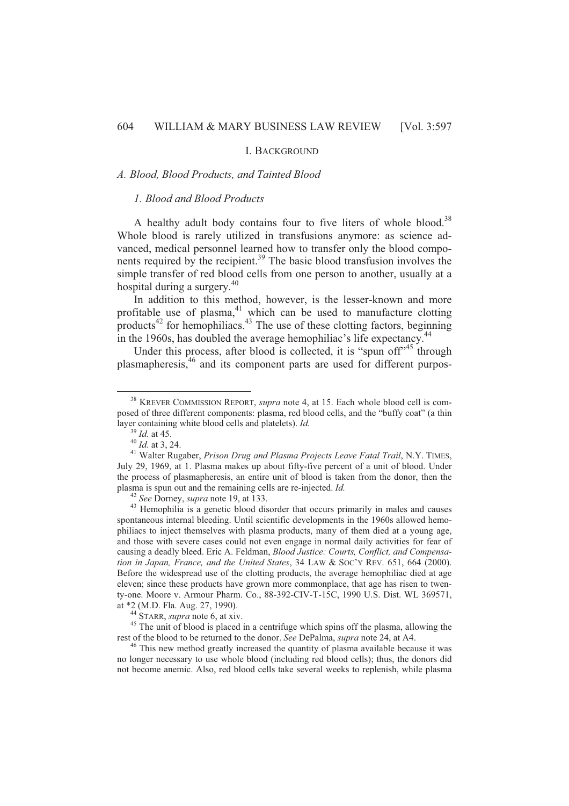# I. BACKGROUND

# *A. Blood, Blood Products, and Tainted Blood*

# *1. Blood and Blood Products*

A healthy adult body contains four to five liters of whole blood.<sup>38</sup> Whole blood is rarely utilized in transfusions anymore: as science advanced, medical personnel learned how to transfer only the blood components required by the recipient.<sup>39</sup> The basic blood transfusion involves the simple transfer of red blood cells from one person to another, usually at a hospital during a surgery.<sup>40</sup>

In addition to this method, however, is the lesser-known and more profitable use of plasma,<sup>41</sup> which can be used to manufacture clotting products<sup>42</sup> for hemophiliacs.<sup>43</sup> The use of these clotting factors, beginning in the 1960s, has doubled the average hemophiliac's life expectancy.<sup>44</sup>

Under this process, after blood is collected, it is "spun of  $f^{\prime 45}$ " through plasmapheresis,<sup>46</sup> and its component parts are used for different purpos-

<sup>38</sup> KREVER COMMISSION REPORT, *supra* note 4, at 15. Each whole blood cell is composed of three different components: plasma, red blood cells, and the "buffy coat" (a thin layer containing white blood cells and platelets). *Id.*

<sup>39</sup> *Id.* at 45.

 $^{40}$  *Id.* at 3, 24.

<sup>&</sup>lt;sup>41</sup> Walter Rugaber, *Prison Drug and Plasma Projects Leave Fatal Trail*, N.Y. TIMES, July 29, 1969, at 1. Plasma makes up about fifty-five percent of a unit of blood. Under the process of plasmapheresis, an entire unit of blood is taken from the donor, then the plasma is spun out and the remaining cells are re-injected. *Id.*

<sup>42</sup> *See* Dorney, *supra* note 19, at 133.

<sup>&</sup>lt;sup>43</sup> Hemophilia is a genetic blood disorder that occurs primarily in males and causes spontaneous internal bleeding. Until scientific developments in the 1960s allowed hemophiliacs to inject themselves with plasma products, many of them died at a young age, and those with severe cases could not even engage in normal daily activities for fear of causing a deadly bleed. Eric A. Feldman, *Blood Justice: Courts, Conflict, and Compensation in Japan, France, and the United States*, 34 LAW & SOC'Y REV. 651, 664 (2000). Before the widespread use of the clotting products, the average hemophiliac died at age eleven; since these products have grown more commonplace, that age has risen to twenty-one. Moore v. Armour Pharm. Co., 88-392-CIV-T-15C, 1990 U.S. Dist. WL 369571, at \*2 (M.D. Fla. Aug. 27, 1990).

<sup>44</sup> STARR, *supra* note 6, at xiv.

<sup>&</sup>lt;sup>45</sup> The unit of blood is placed in a centrifuge which spins off the plasma, allowing the rest of the blood to be returned to the donor. *See* DePalma, *supra* note 24, at A4.

<sup>&</sup>lt;sup>46</sup> This new method greatly increased the quantity of plasma available because it was no longer necessary to use whole blood (including red blood cells); thus, the donors did not become anemic. Also, red blood cells take several weeks to replenish, while plasma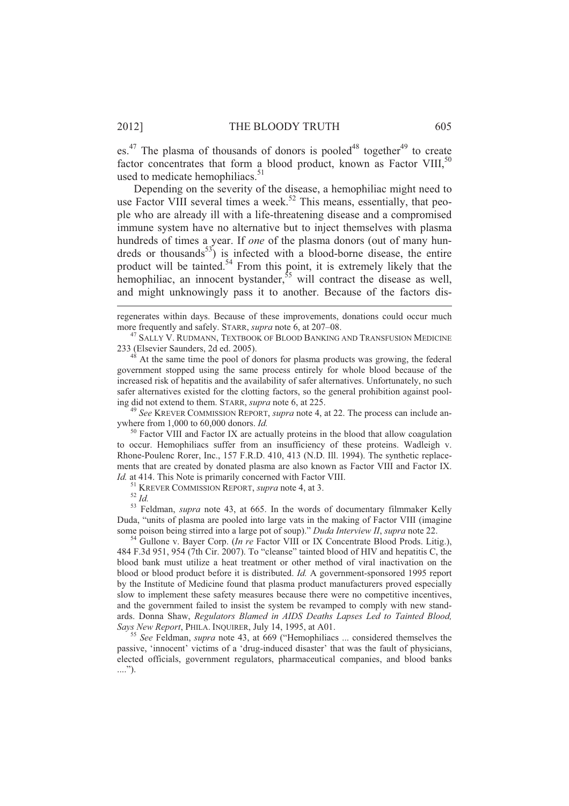es.<sup>47</sup> The plasma of thousands of donors is pooled<sup>48</sup> together<sup>49</sup> to create factor concentrates that form a blood product, known as Factor VIII,  $50$ used to medicate hemophiliacs.<sup>51</sup>

Depending on the severity of the disease, a hemophiliac might need to use Factor VIII several times a week.<sup>52</sup> This means, essentially, that people who are already ill with a life-threatening disease and a compromised immune system have no alternative but to inject themselves with plasma hundreds of times a year. If *one* of the plasma donors (out of many hundreds or thousands<sup>53</sup>) is infected with a blood-borne disease, the entire product will be tainted.<sup>54</sup> From this point, it is extremely likely that the hemophiliac, an innocent bystander,  $\frac{55}{10}$  will contract the disease as well, and might unknowingly pass it to another. Because of the factors dis-

regenerates within days. Because of these improvements, donations could occur much more frequently and safely. STARR, *supra* note 6, at 207–08.

<sup>47</sup> SALLY V. RUDMANN, TEXTBOOK OF BLOOD BANKING AND TRANSFUSION MEDICINE 233 (Elsevier Saunders, 2d ed. 2005).

 $48$  At the same time the pool of donors for plasma products was growing, the federal government stopped using the same process entirely for whole blood because of the increased risk of hepatitis and the availability of safer alternatives. Unfortunately, no such safer alternatives existed for the clotting factors, so the general prohibition against pooling did not extend to them. STARR, *supra* note 6, at 225.

<sup>49</sup> *See* KREVER COMMISSION REPORT, *supra* note 4, at 22. The process can include anywhere from 1,000 to 60,000 donors. *Id.*

<sup>50</sup> Factor VIII and Factor IX are actually proteins in the blood that allow coagulation to occur. Hemophiliacs suffer from an insufficiency of these proteins. Wadleigh v. Rhone-Poulenc Rorer, Inc., 157 F.R.D. 410, 413 (N.D. Ill. 1994). The synthetic replacements that are created by donated plasma are also known as Factor VIII and Factor IX. *Id.* at 414. This Note is primarily concerned with Factor VIII.

<sup>51</sup> KREVER COMMISSION REPORT, *supra* note 4, at 3.

<sup>53</sup> Feldman, *supra* note 43, at 665. In the words of documentary filmmaker Kelly Duda, "units of plasma are pooled into large vats in the making of Factor VIII (imagine some poison being stirred into a large pot of soup)." *Duda Interview II*, *supra* note 22.

<sup>54</sup> Gullone v. Bayer Corp. (*In re* Factor VIII or IX Concentrate Blood Prods. Litig.), 484 F.3d 951, 954 (7th Cir. 2007). To "cleanse" tainted blood of HIV and hepatitis C, the blood bank must utilize a heat treatment or other method of viral inactivation on the blood or blood product before it is distributed. *Id.* A government-sponsored 1995 report by the Institute of Medicine found that plasma product manufacturers proved especially slow to implement these safety measures because there were no competitive incentives, and the government failed to insist the system be revamped to comply with new standards. Donna Shaw, *Regulators Blamed in AIDS Deaths Lapses Led to Tainted Blood, Says New Report*, PHILA. INQUIRER, July 14, 1995, at A01.

<sup>55</sup> *See* Feldman, *supra* note 43, at 669 ("Hemophiliacs ... considered themselves the passive, 'innocent' victims of a 'drug-induced disaster' that was the fault of physicians, elected officials, government regulators, pharmaceutical companies, and blood banks ....").

<sup>52</sup> *Id.*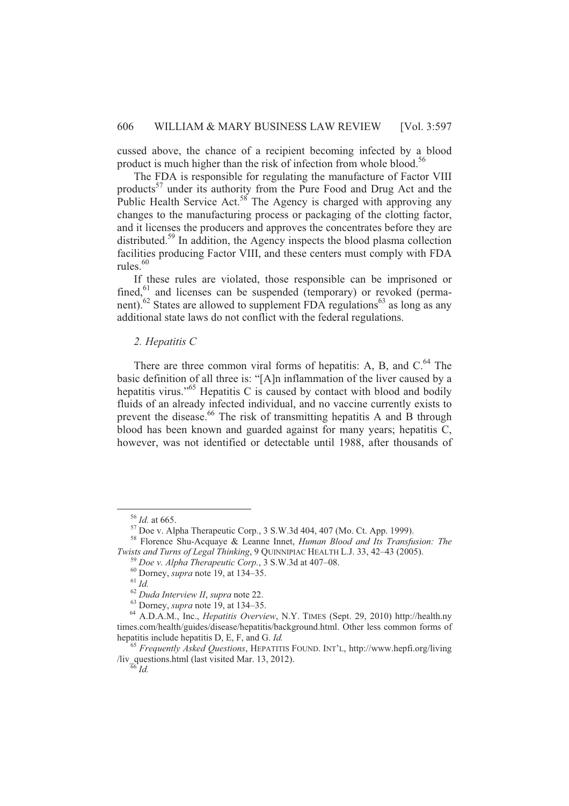cussed above, the chance of a recipient becoming infected by a blood product is much higher than the risk of infection from whole blood.<sup>56</sup>

The FDA is responsible for regulating the manufacture of Factor VIII products<sup>57</sup> under its authority from the Pure Food and Drug Act and the Public Health Service Act.<sup>58</sup> The Agency is charged with approving any changes to the manufacturing process or packaging of the clotting factor, and it licenses the producers and approves the concentrates before they are distributed.<sup>59</sup> In addition, the Agency inspects the blood plasma collection facilities producing Factor VIII, and these centers must comply with FDA rules. $60$ 

If these rules are violated, those responsible can be imprisoned or fined, $61$  and licenses can be suspended (temporary) or revoked (permanent).<sup>62</sup> States are allowed to supplement FDA regulations<sup>63</sup> as long as any additional state laws do not conflict with the federal regulations.

# *2. Hepatitis C*

There are three common viral forms of hepatitis: A, B, and C.<sup>64</sup> The basic definition of all three is: "[A]n inflammation of the liver caused by a hepatitis virus."<sup>65</sup> Hepatitis C is caused by contact with blood and bodily fluids of an already infected individual, and no vaccine currently exists to prevent the disease.<sup>66</sup> The risk of transmitting hepatitis A and B through blood has been known and guarded against for many years; hepatitis C, however, was not identified or detectable until 1988, after thousands of

<sup>56</sup> *Id.* at 665.

 $57$  Doe v. Alpha Therapeutic Corp., 3 S.W.3d 404, 407 (Mo. Ct. App. 1999).

<sup>58</sup> Florence Shu-Acquaye & Leanne Innet, *Human Blood and Its Transfusion: The Twists and Turns of Legal Thinking*, 9 QUINNIPIAC HEALTH L.J. 33, 42–43 (2005).

<sup>59</sup> *Doe v. Alpha Therapeutic Corp.*, 3 S.W.3d at 407–08.

<sup>60</sup> Dorney, *supra* note 19, at 134–35.

 $61\overline{Id}$ 

<sup>62</sup> *Duda Interview II*, *supra* note 22.

<sup>63</sup> Dorney, *supra* note 19, at 134–35.

<sup>64</sup> A.D.A.M., Inc., *Hepatitis Overview*, N.Y. TIMES (Sept. 29, 2010) http://health.ny times.com/health/guides/disease/hepatitis/background.html. Other less common forms of hepatitis include hepatitis D, E, F, and G. *Id.*

<sup>65</sup> *Frequently Asked Questions*, HEPATITIS FOUND. INT'L, http://www.hepfi.org/living /liv\_questions.html (last visited Mar. 13, 2012).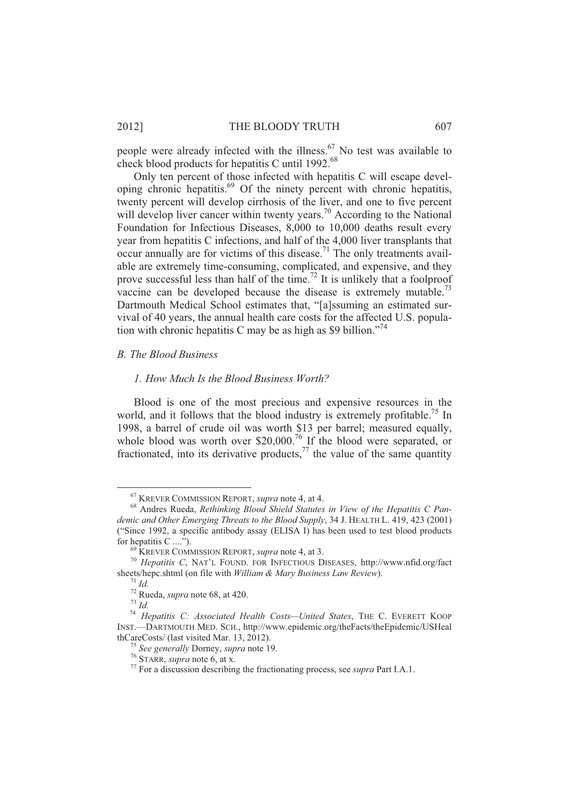people were already infected with the illness.<sup>67</sup> No test was available to check blood products for hepatitis C until 1992.<sup>68</sup>

Only ten percent of those infected with hepatitis C will escape developing chronic hepatitis.<sup>69</sup> Of the ninety percent with chronic hepatitis, twenty percent will develop cirrhosis of the liver, and one to five percent will develop liver cancer within twenty years.<sup>70</sup> According to the National Foundation for Infectious Diseases, 8,000 to 10,000 deaths result every year from hepatitis C infections, and half of the 4,000 liver transplants that  $\frac{1}{2}$  occur annually are for victims of this disease.<sup>71</sup> The only treatments available are extremely time-consuming, complicated, and expensive, and they prove successful less than half of the time.<sup>72</sup> It is unlikely that a foolproof vaccine can be developed because the disease is extremely mutable.<sup>73</sup> Dartmouth Medical School estimates that, "[a]ssuming an estimated survival of 40 years, the annual health care costs for the affected U.S. population with chronic hepatitis C may be as high as \$9 billion."<sup>74</sup>

# *B. The Blood Business*

#### *1. How Much Is the Blood Business Worth?*

Blood is one of the most precious and expensive resources in the world, and it follows that the blood industry is extremely profitable.<sup>75</sup> In 1998, a barrel of crude oil was worth \$13 per barrel; measured equally, whole blood was worth over \$20,000.<sup>76</sup> If the blood were separated, or fractionated, into its derivative products,<sup>77</sup> the value of the same quantity

<sup>67</sup> KREVER COMMISSION REPORT, *supra* note 4, at 4.

<sup>68</sup> Andres Rueda, *Rethinking Blood Shield Statutes in View of the Hepatitis C Pandemic and Other Emerging Threats to the Blood Supply*, 34 J. HEALTH L. 419, 423 (2001) ("Since 1992, a specific antibody assay (ELISA I) has been used to test blood products for hepatitis  $C \dots$ <sup>7</sup>).

<sup>69</sup> KREVER COMMISSION REPORT, *supra* note 4, at 3.

<sup>70</sup> *Hepatitis C*, NAT'L FOUND. FOR INFECTIOUS DISEASES, http://www.nfid.org/fact sheets/hepc.shtml (on file with *William & Mary Business Law Review*).

 $^{71}$  *Id.* 

<sup>72</sup> Rueda, *supra* note 68, at 420.

<sup>73</sup> *Id.*

<sup>74</sup> *Hepatitis C: Associated Health Costs—United States*, THE C. EVERETT KOOP INST.—DARTMOUTH MED. SCH., http://www.epidemic.org/theFacts/theEpidemic/USHeal thCareCosts/ (last visited Mar. 13, 2012).

<sup>75</sup> *See generally* Dorney, *supra* note 19.

<sup>76</sup> STARR, *supra* note 6, at x.

<sup>77</sup> For a discussion describing the fractionating process, see *supra* Part I.A.1.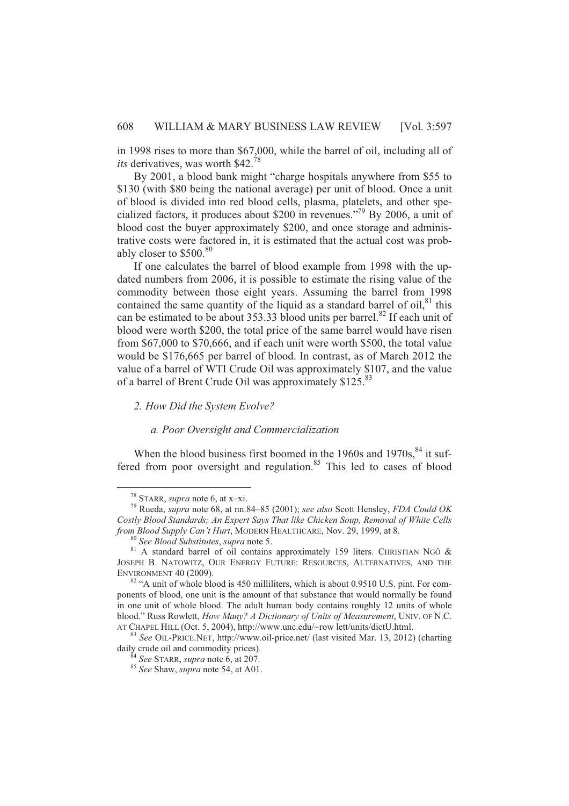in 1998 rises to more than \$67,000, while the barrel of oil, including all of *its* derivatives, was worth \$42.<sup>78</sup>

By 2001, a blood bank might "charge hospitals anywhere from \$55 to \$130 (with \$80 being the national average) per unit of blood. Once a unit of blood is divided into red blood cells, plasma, platelets, and other specialized factors, it produces about \$200 in revenues."<sup>79</sup> By 2006, a unit of blood cost the buyer approximately \$200, and once storage and administrative costs were factored in, it is estimated that the actual cost was probably closer to \$500.80

If one calculates the barrel of blood example from 1998 with the updated numbers from 2006, it is possible to estimate the rising value of the commodity between those eight years. Assuming the barrel from 1998 contained the same quantity of the liquid as a standard barrel of oil, $81$  this can be estimated to be about 353.33 blood units per barrel.<sup>82</sup> If each unit of blood were worth \$200, the total price of the same barrel would have risen from \$67,000 to \$70,666, and if each unit were worth \$500, the total value would be \$176,665 per barrel of blood. In contrast, as of March 2012 the value of a barrel of WTI Crude Oil was approximately \$107, and the value of a barrel of Brent Crude Oil was approximately \$125.<sup>83</sup>

*2. How Did the System Evolve?* 

#### *a. Poor Oversight and Commercialization*

When the blood business first boomed in the 1960s and 1970s, $84$  it suffered from poor oversight and regulation. $85$  This led to cases of blood

<sup>78</sup> STARR, *supra* note 6, at x–xi.

<sup>79</sup> Rueda, *supra* note 68, at nn.84–85 (2001); *see also* Scott Hensley, *FDA Could OK Costly Blood Standards; An Expert Says That like Chicken Soup, Removal of White Cells from Blood Supply Can't Hurt*, MODERN HEALTHCARE, Nov. 29, 1999, at 8.

<sup>80</sup> *See Blood Substitutes*, *supra* note 5.

 $81$  A standard barrel of oil contains approximately 159 liters. CHRISTIAN NGÔ & JOSEPH B. NATOWITZ, OUR ENERGY FUTURE: RESOURCES, ALTERNATIVES, AND THE ENVIRONMENT 40 (2009).

<sup>&</sup>lt;sup>82</sup> "A unit of whole blood is 450 milliliters, which is about 0.9510 U.S. pint. For components of blood, one unit is the amount of that substance that would normally be found in one unit of whole blood. The adult human body contains roughly 12 units of whole blood." Russ Rowlett, *How Many? A Dictionary of Units of Measurement*, UNIV. OF N.C. AT CHAPEL HILL (Oct. 5, 2004), http://www.unc.edu/~row lett/units/dictU.html.

<sup>83</sup> *See* OIL-PRICE.NET, http://www.oil-price.net/ (last visited Mar. 13, 2012) (charting daily crude oil and commodity prices).

<sup>84</sup> *See* STARR, *supra* note 6, at 207.

<sup>85</sup> *See* Shaw, *supra* note 54, at A01.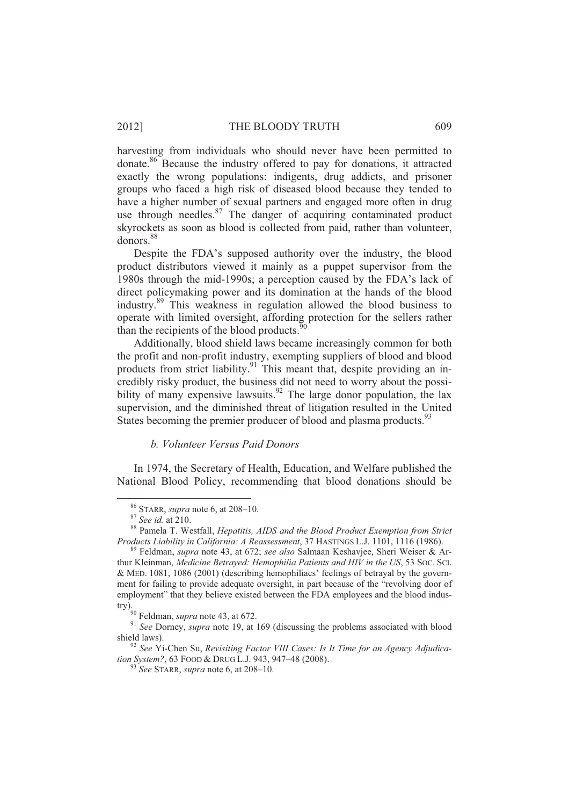harvesting from individuals who should never have been permitted to donate.<sup>86</sup> Because the industry offered to pay for donations, it attracted exactly the wrong populations: indigents, drug addicts, and prisoner groups who faced a high risk of diseased blood because they tended to have a higher number of sexual partners and engaged more often in drug use through needles. $87$  The danger of acquiring contaminated product skyrockets as soon as blood is collected from paid, rather than volunteer, donors.<sup>88</sup>

Despite the FDA's supposed authority over the industry, the blood product distributors viewed it mainly as a puppet supervisor from the 1980s through the mid-1990s; a perception caused by the FDA's lack of direct policymaking power and its domination at the hands of the blood industry.<sup>89</sup> This weakness in regulation allowed the blood business to operate with limited oversight, affording protection for the sellers rather than the recipients of the blood products. $\frac{5}{3}$ 

Additionally, blood shield laws became increasingly common for both the profit and non-profit industry, exempting suppliers of blood and blood products from strict liability.<sup>91</sup> This meant that, despite providing an incredibly risky product, the business did not need to worry about the possibility of many expensive lawsuits.<sup>92</sup> The large donor population, the lax supervision, and the diminished threat of litigation resulted in the United States becoming the premier producer of blood and plasma products.<sup>93</sup>

# *b. Volunteer Versus Paid Donors*

In 1974, the Secretary of Health, Education, and Welfare published the National Blood Policy, recommending that blood donations should be

<sup>86</sup> STARR, *supra* note 6, at 208–10.

<sup>87</sup> *See id.* at 210.

<sup>88</sup> Pamela T. Westfall, *Hepatitis, AIDS and the Blood Product Exemption from Strict Products Liability in California: A Reassessment*, 37 HASTINGS L.J. 1101, 1116 (1986).

<sup>89</sup> Feldman, *supra* note 43, at 672; *see also* Salmaan Keshavjee, Sheri Weiser & Arthur Kleinman, *Medicine Betrayed: Hemophilia Patients and HIV in the US*, 53 SOC. SCI. & MED. 1081, 1086 (2001) (describing hemophiliacs' feelings of betrayal by the government for failing to provide adequate oversight, in part because of the "revolving door of employment" that they believe existed between the FDA employees and the blood industry).

<sup>90</sup> Feldman, *supra* note 43, at 672.

<sup>91</sup> *See* Dorney, *supra* note 19, at 169 (discussing the problems associated with blood shield laws).

<sup>92</sup> *See* Yi-Chen Su, *Revisiting Factor VIII Cases: Is It Time for an Agency Adjudication System?*, 63 FOOD & DRUG L.J. 943, 947–48 (2008).

<sup>93</sup> *See* STARR, *supra* note 6, at 208–10.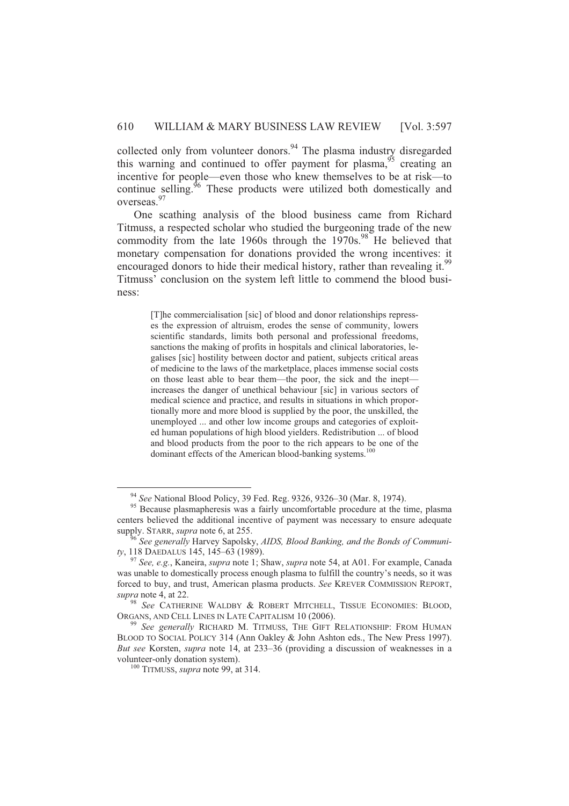collected only from volunteer donors.<sup>94</sup> The plasma industry disregarded this warning and continued to offer payment for plasma,  $95$  creating an incentive for people—even those who knew themselves to be at risk—to continue selling. $96$  These products were utilized both domestically and overseas.<sup>97</sup>

One scathing analysis of the blood business came from Richard Titmuss, a respected scholar who studied the burgeoning trade of the new commodity from the late 1960s through the  $1970s$ .<sup>98</sup> He believed that monetary compensation for donations provided the wrong incentives: it encouraged donors to hide their medical history, rather than revealing it.<sup>99</sup> Titmuss' conclusion on the system left little to commend the blood business:

[T]he commercialisation [sic] of blood and donor relationships represses the expression of altruism, erodes the sense of community, lowers scientific standards, limits both personal and professional freedoms, sanctions the making of profits in hospitals and clinical laboratories, legalises [sic] hostility between doctor and patient, subjects critical areas of medicine to the laws of the marketplace, places immense social costs on those least able to bear them—the poor, the sick and the inept increases the danger of unethical behaviour [sic] in various sectors of medical science and practice, and results in situations in which proportionally more and more blood is supplied by the poor, the unskilled, the unemployed ... and other low income groups and categories of exploited human populations of high blood yielders. Redistribution ... of blood and blood products from the poor to the rich appears to be one of the dominant effects of the American blood-banking systems.<sup>100</sup>

<sup>94</sup> *See* National Blood Policy, 39 Fed. Reg. 9326, 9326–30 (Mar. 8, 1974).

<sup>&</sup>lt;sup>95</sup> Because plasmapheresis was a fairly uncomfortable procedure at the time, plasma centers believed the additional incentive of payment was necessary to ensure adequate supply. STARR, *supra* note 6, at 255.

<sup>96</sup> *See generally* Harvey Sapolsky, *AIDS, Blood Banking, and the Bonds of Community*, 118 DAEDALUS 145, 145–63 (1989).

<sup>97</sup> *See, e.g.*, Kaneira, *supra* note 1; Shaw, *supra* note 54, at A01. For example, Canada was unable to domestically process enough plasma to fulfill the country's needs, so it was forced to buy, and trust, American plasma products. *See* KREVER COMMISSION REPORT, *supra* note 4, at 22.

<sup>98</sup> *See* CATHERINE WALDBY & ROBERT MITCHELL, TISSUE ECONOMIES: BLOOD, ORGANS, AND CELL LINES IN LATE CAPITALISM 10 (2006).

<sup>99</sup> *See generally* RICHARD M. TITMUSS, THE GIFT RELATIONSHIP: FROM HUMAN BLOOD TO SOCIAL POLICY 314 (Ann Oakley & John Ashton eds., The New Press 1997). *But see* Korsten, *supra* note 14, at 233–36 (providing a discussion of weaknesses in a volunteer-only donation system).

<sup>100</sup> TITMUSS, *supra* note 99, at 314.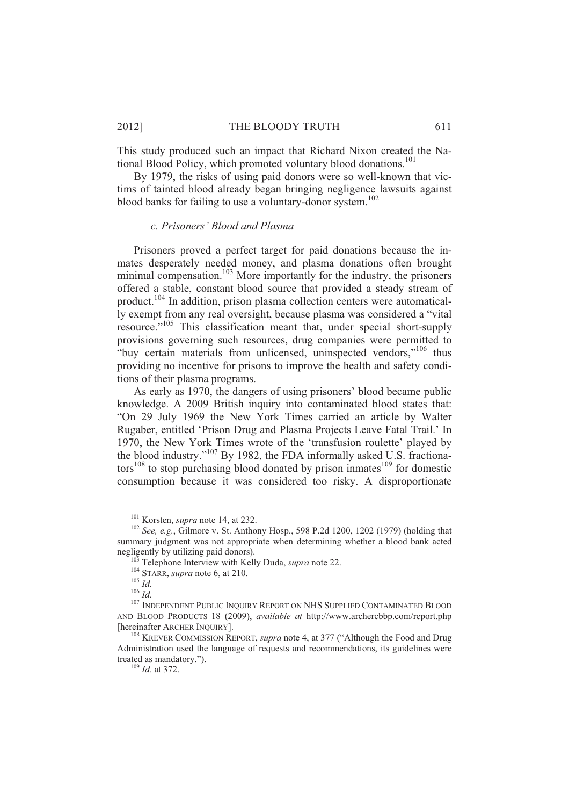2012] THE BLOODY TRUTH 611

This study produced such an impact that Richard Nixon created the National Blood Policy, which promoted voluntary blood donations.<sup>101</sup>

By 1979, the risks of using paid donors were so well-known that victims of tainted blood already began bringing negligence lawsuits against blood banks for failing to use a voluntary-donor system.<sup>102</sup>

# *c. Prisoners' Blood and Plasma*

Prisoners proved a perfect target for paid donations because the inmates desperately needed money, and plasma donations often brought minimal compensation.<sup>103</sup> More importantly for the industry, the prisoners offered a stable, constant blood source that provided a steady stream of product.<sup>104</sup> In addition, prison plasma collection centers were automatically exempt from any real oversight, because plasma was considered a "vital resource."<sup>105</sup> This classification meant that, under special short-supply provisions governing such resources, drug companies were permitted to "buy certain materials from unlicensed, uninspected vendors,"<sup>106</sup> thus providing no incentive for prisons to improve the health and safety conditions of their plasma programs.

As early as 1970, the dangers of using prisoners' blood became public knowledge. A 2009 British inquiry into contaminated blood states that: "On 29 July 1969 the New York Times carried an article by Walter Rugaber, entitled 'Prison Drug and Plasma Projects Leave Fatal Trail.' In 1970, the New York Times wrote of the 'transfusion roulette' played by the blood industry."<sup>107</sup> By 1982, the FDA informally asked U.S. fractiona- $\cos^{108}$  to stop purchasing blood donated by prison inmates<sup>109</sup> for domestic consumption because it was considered too risky. A disproportionate

<sup>101</sup> Korsten, *supra* note 14, at 232.

<sup>102</sup> *See, e.g.*, Gilmore v. St. Anthony Hosp., 598 P.2d 1200, 1202 (1979) (holding that summary judgment was not appropriate when determining whether a blood bank acted negligently by utilizing paid donors).

<sup>&</sup>lt;sup>3</sup> Telephone Interview with Kelly Duda, *supra* note 22.

<sup>104</sup> STARR, *supra* note 6, at 210.

 $^{105}$  *Id* 

<sup>106</sup> *Id.*

<sup>&</sup>lt;sup>107</sup> INDEPENDENT PUBLIC INQUIRY REPORT ON NHS SUPPLIED CONTAMINATED BLOOD AND BLOOD PRODUCTS 18 (2009), *available at* http://www.archercbbp.com/report.php [hereinafter ARCHER INQUIRY].

<sup>108</sup> KREVER COMMISSION REPORT, *supra* note 4, at 377 ("Although the Food and Drug Administration used the language of requests and recommendations, its guidelines were treated as mandatory.").

 $\frac{109}{109}$  *Id.* at 372.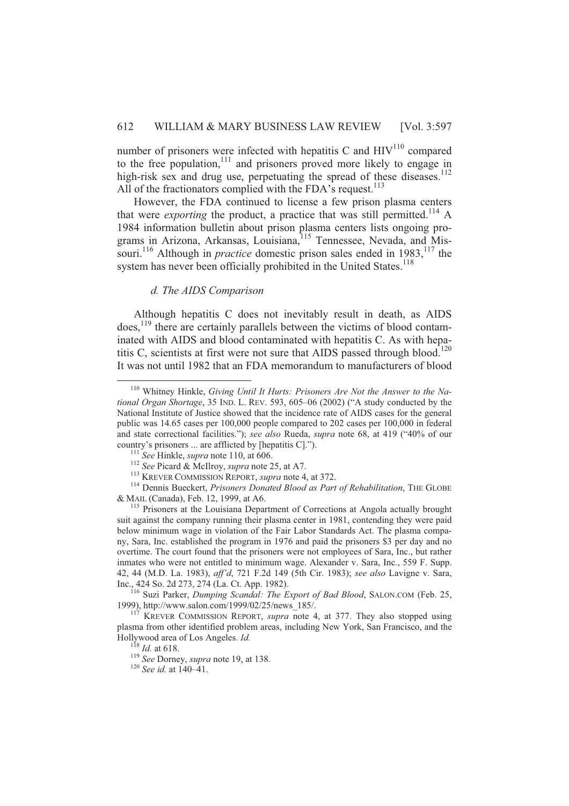number of prisoners were infected with hepatitis C and  $HIV<sup>110</sup>$  compared to the free population, $111$  and prisoners proved more likely to engage in high-risk sex and drug use, perpetuating the spread of these diseases.<sup>112</sup> All of the fractionators complied with the FDA's request.<sup>113</sup>

However, the FDA continued to license a few prison plasma centers that were *exporting* the product, a practice that was still permitted.<sup>114</sup> A 1984 information bulletin about prison plasma centers lists ongoing programs in Arizona, Arkansas, Louisiana, <sup>115</sup> Tennessee, Nevada, and Missouri.<sup>116</sup> Although in *practice* domestic prison sales ended in 1983,<sup>117</sup> the system has never been officially prohibited in the United States.<sup>118</sup>

#### *d. The AIDS Comparison*

Although hepatitis C does not inevitably result in death, as AIDS  $\omega$  does,<sup>119</sup> there are certainly parallels between the victims of blood contaminated with AIDS and blood contaminated with hepatitis C. As with hepatitis C, scientists at first were not sure that AIDS passed through blood.<sup>120</sup> It was not until 1982 that an FDA memorandum to manufacturers of blood

<sup>110</sup> Whitney Hinkle, *Giving Until It Hurts: Prisoners Are Not the Answer to the National Organ Shortage*, 35 IND. L. REV. 593, 605–06 (2002) ("A study conducted by the National Institute of Justice showed that the incidence rate of AIDS cases for the general public was 14.65 cases per 100,000 people compared to 202 cases per 100,000 in federal and state correctional facilities."); *see also* Rueda, *supra* note 68, at 419 ("40% of our country's prisoners ... are afflicted by [hepatitis C].").

<sup>111</sup> *See* Hinkle, *supra* note 110, at 606.

<sup>112</sup> *See* Picard & McIlroy, *supra* note 25, at A7.

<sup>113</sup> KREVER COMMISSION REPORT, *supra* note 4, at 372.

<sup>&</sup>lt;sup>114</sup> Dennis Bueckert, *Prisoners Donated Blood as Part of Rehabilitation*, THE GLOBE & MAIL (Canada), Feb. 12, 1999, at A6.

<sup>&</sup>lt;sup>115</sup> Prisoners at the Louisiana Department of Corrections at Angola actually brought suit against the company running their plasma center in 1981, contending they were paid below minimum wage in violation of the Fair Labor Standards Act. The plasma company, Sara, Inc. established the program in 1976 and paid the prisoners \$3 per day and no overtime. The court found that the prisoners were not employees of Sara, Inc., but rather inmates who were not entitled to minimum wage. Alexander v. Sara, Inc., 559 F. Supp. 42, 44 (M.D. La. 1983), *aff'd*, 721 F.2d 149 (5th Cir. 1983); *see also* Lavigne v. Sara, Inc., 424 So. 2d 273, 274 (La. Ct. App. 1982).

<sup>116</sup> Suzi Parker, *Dumping Scandal: The Export of Bad Blood*, SALON.COM (Feb. 25, 1999), http://www.salon.com/1999/02/25/news\_185/.

 $117$  KREVER COMMISSION REPORT, *supra* note 4, at 377. They also stopped using plasma from other identified problem areas, including New York, San Francisco, and the Hollywood area of Los Angeles. *Id.*

 $^{118}$  *Id.* at 618.

<sup>119</sup> *See* Dorney, *supra* note 19, at 138.

<sup>120</sup> *See id.* at 140–41.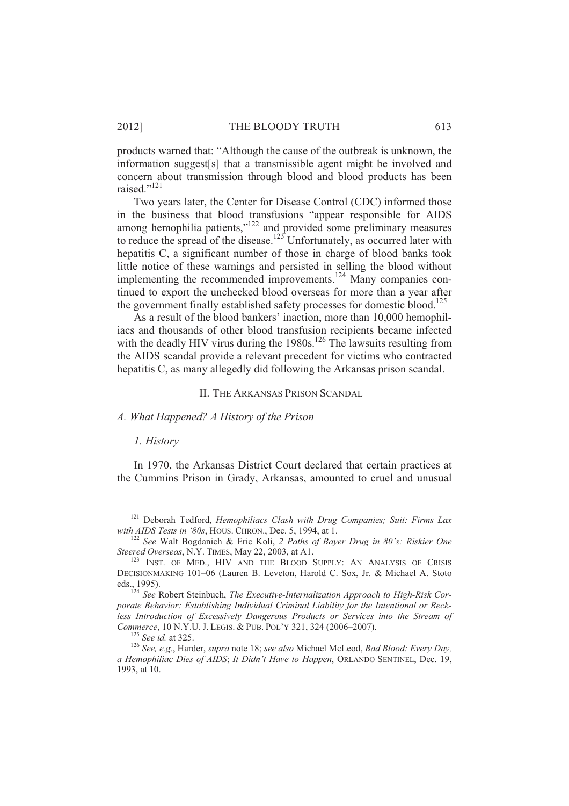products warned that: "Although the cause of the outbreak is unknown, the information suggest[s] that a transmissible agent might be involved and concern about transmission through blood and blood products has been raised."<sup>121</sup>

Two years later, the Center for Disease Control (CDC) informed those in the business that blood transfusions "appear responsible for AIDS among hemophilia patients, $v^{122}$  and provided some preliminary measures to reduce the spread of the disease.<sup>123</sup> Unfortunately, as occurred later with hepatitis C, a significant number of those in charge of blood banks took little notice of these warnings and persisted in selling the blood without implementing the recommended improvements.<sup>124</sup> Many companies continued to export the unchecked blood overseas for more than a year after the government finally established safety processes for domestic blood.<sup>125</sup>

As a result of the blood bankers' inaction, more than 10,000 hemophiliacs and thousands of other blood transfusion recipients became infected with the deadly HIV virus during the  $1980s$ .<sup>126</sup> The lawsuits resulting from the AIDS scandal provide a relevant precedent for victims who contracted hepatitis C, as many allegedly did following the Arkansas prison scandal.

II. THE ARKANSAS PRISON SCANDAL

# *A. What Happened? A History of the Prison*

#### *1. History*

l

In 1970, the Arkansas District Court declared that certain practices at the Cummins Prison in Grady, Arkansas, amounted to cruel and unusual

<sup>&</sup>lt;sup>121</sup> Deborah Tedford, *Hemophiliacs Clash with Drug Companies; Suit: Firms Lax with AIDS Tests in '80s*, HOUS. CHRON., Dec. 5, 1994, at 1.

<sup>122</sup> *See* Walt Bogdanich & Eric Koli, *2 Paths of Bayer Drug in 80's: Riskier One Steered Overseas*, N.Y.TIMES, May 22, 2003, at A1.

<sup>&</sup>lt;sup>123</sup> INST. OF MED., HIV AND THE BLOOD SUPPLY: AN ANALYSIS OF CRISIS DECISIONMAKING 101–06 (Lauren B. Leveton, Harold C. Sox, Jr. & Michael A. Stoto eds., 1995).

<sup>124</sup> *See* Robert Steinbuch, *The Executive-Internalization Approach to High-Risk Corporate Behavior: Establishing Individual Criminal Liability for the Intentional or Reckless Introduction of Excessively Dangerous Products or Services into the Stream of Commerce*, 10 N.Y.U. J.LEGIS. & PUB. POL'Y 321, 324 (2006–2007).

<sup>125</sup> *See id.* at 325.

<sup>126</sup> *See, e.g.*, Harder, *supra* note 18; *see also* Michael McLeod, *Bad Blood: Every Day, a Hemophiliac Dies of AIDS*; *It Didn't Have to Happen*, ORLANDO SENTINEL, Dec. 19, 1993, at 10.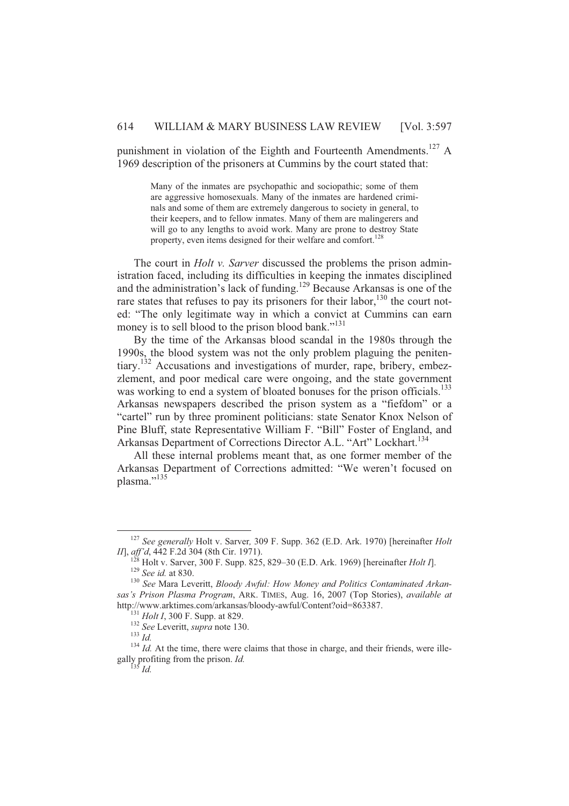punishment in violation of the Eighth and Fourteenth Amendments.<sup>127</sup> A 1969 description of the prisoners at Cummins by the court stated that:

Many of the inmates are psychopathic and sociopathic; some of them are aggressive homosexuals. Many of the inmates are hardened criminals and some of them are extremely dangerous to society in general, to their keepers, and to fellow inmates. Many of them are malingerers and will go to any lengths to avoid work. Many are prone to destroy State property, even items designed for their welfare and comfort.<sup>128</sup>

The court in *Holt v. Sarver* discussed the problems the prison administration faced, including its difficulties in keeping the inmates disciplined and the administration's lack of funding.<sup>129</sup> Because Arkansas is one of the rare states that refuses to pay its prisoners for their labor,<sup>130</sup> the court noted: "The only legitimate way in which a convict at Cummins can earn money is to sell blood to the prison blood bank."<sup>131</sup>

By the time of the Arkansas blood scandal in the 1980s through the 1990s, the blood system was not the only problem plaguing the penitentiary.<sup>132</sup> Accusations and investigations of murder, rape, bribery, embezzlement, and poor medical care were ongoing, and the state government was working to end a system of bloated bonuses for the prison officials.<sup>133</sup> Arkansas newspapers described the prison system as a "fiefdom" or a "cartel" run by three prominent politicians: state Senator Knox Nelson of Pine Bluff, state Representative William F. "Bill" Foster of England, and Arkansas Department of Corrections Director A.L. "Art" Lockhart.<sup>134</sup>

All these internal problems meant that, as one former member of the Arkansas Department of Corrections admitted: "We weren't focused on plasma."<sup>135</sup>

 $\overline{a}$ 

<sup>127</sup> *See generally* Holt v. Sarver*,* 309 F. Supp. 362 (E.D. Ark. 1970) [hereinafter *Holt II*], *aff'd*, 442 F.2d 304 (8th Cir. 1971).

 $^{8}$  Holt v. Sarver, 300 F. Supp. 825, 829–30 (E.D. Ark. 1969) [hereinafter *Holt I*]. <sup>129</sup> *See id.* at 830.

<sup>130</sup> *See* Mara Leveritt, *Bloody Awful: How Money and Politics Contaminated Arkansas's Prison Plasma Program*, ARK. TIMES, Aug. 16, 2007 (Top Stories), *available at* http://www.arktimes.com/arkansas/bloody-awful/Content?oid=863387.

<sup>131</sup> *Holt I*, 300 F. Supp. at 829.

<sup>132</sup> *See* Leveritt, *supra* note 130.

<sup>133</sup> *Id.*

 $134$  *Id.* At the time, there were claims that those in charge, and their friends, were illegally profiting from the prison. *Id.*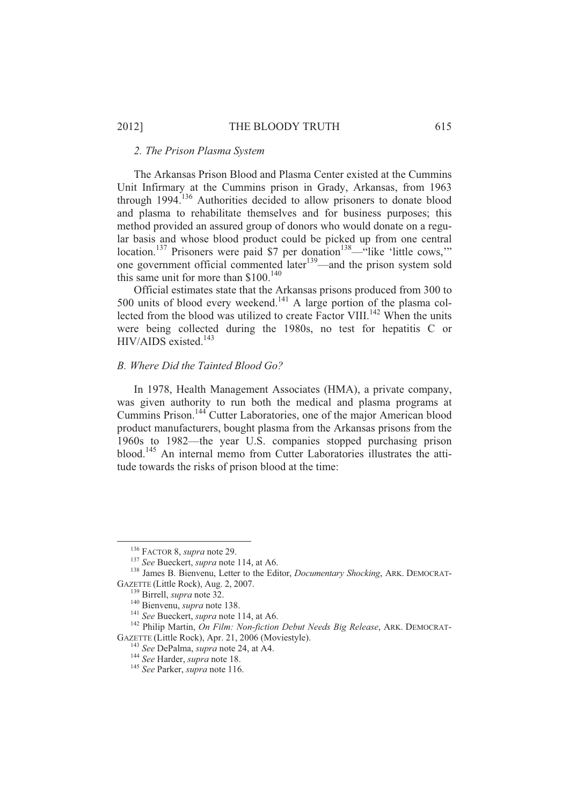# *2. The Prison Plasma System*

The Arkansas Prison Blood and Plasma Center existed at the Cummins Unit Infirmary at the Cummins prison in Grady, Arkansas, from 1963 through 1994.<sup>136</sup> Authorities decided to allow prisoners to donate blood and plasma to rehabilitate themselves and for business purposes; this method provided an assured group of donors who would donate on a regular basis and whose blood product could be picked up from one central location.<sup>137</sup> Prisoners were paid \$7 per donation<sup>138</sup>—"like 'little cows," one government official commented later<sup>139</sup>—and the prison system sold this same unit for more than  $$100.<sup>140</sup>$ 

Official estimates state that the Arkansas prisons produced from 300 to 500 units of blood every weekend.<sup>141</sup> A large portion of the plasma collected from the blood was utilized to create Factor VIII.<sup>142</sup> When the units were being collected during the 1980s, no test for hepatitis C or HIV/AIDS existed.<sup>143</sup>

# *B. Where Did the Tainted Blood Go?*

In 1978, Health Management Associates (HMA), a private company, was given authority to run both the medical and plasma programs at Cummins Prison.<sup>144</sup> Cutter Laboratories, one of the major American blood product manufacturers, bought plasma from the Arkansas prisons from the 1960s to 1982—the year U.S. companies stopped purchasing prison blood.<sup>145</sup> An internal memo from Cutter Laboratories illustrates the attitude towards the risks of prison blood at the time:

<sup>136</sup> FACTOR 8, *supra* note 29.

<sup>137</sup> *See* Bueckert, *supra* note 114, at A6.

<sup>138</sup> James B. Bienvenu, Letter to the Editor, *Documentary Shocking*, ARK. DEMOCRAT-GAZETTE (Little Rock), Aug. 2, 2007.

<sup>139</sup> Birrell, *supra* note 32.

<sup>140</sup> Bienvenu, *supra* note 138.

<sup>141</sup> *See* Bueckert, *supra* note 114, at A6.

<sup>142</sup> Philip Martin, *On Film: Non-fiction Debut Needs Big Release*, ARK. DEMOCRAT-GAZETTE (Little Rock), Apr. 21, 2006 (Moviestyle).

<sup>143</sup> *See* DePalma, *supra* note 24, at A4.

<sup>144</sup> *See* Harder, *supra* note 18.

<sup>145</sup> *See* Parker, *supra* note 116.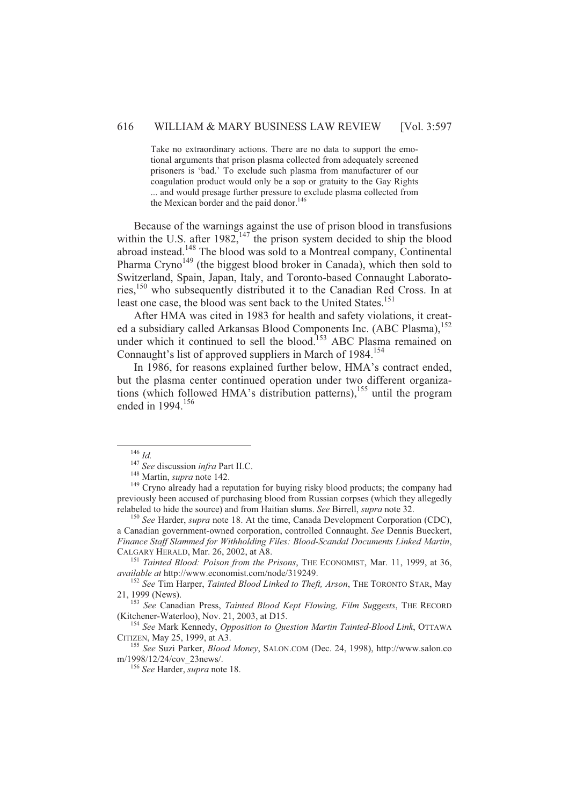Take no extraordinary actions. There are no data to support the emotional arguments that prison plasma collected from adequately screened prisoners is 'bad.' To exclude such plasma from manufacturer of our coagulation product would only be a sop or gratuity to the Gay Rights ... and would presage further pressure to exclude plasma collected from the Mexican border and the paid donor.<sup>146</sup>

Because of the warnings against the use of prison blood in transfusions within the U.S. after  $1982$ ,  $147$  the prison system decided to ship the blood abroad instead.<sup>148</sup> The blood was sold to a Montreal company, Continental Pharma Cryno<sup>149</sup> (the biggest blood broker in Canada), which then sold to Switzerland, Spain, Japan, Italy, and Toronto-based Connaught Laboratories,<sup>150</sup> who subsequently distributed it to the Canadian Red Cross. In at least one case, the blood was sent back to the United States.<sup>151</sup>

After HMA was cited in 1983 for health and safety violations, it created a subsidiary called Arkansas Blood Components Inc. (ABC Plasma),<sup>152</sup> under which it continued to sell the blood.<sup>153</sup> ABC Plasma remained on Connaught's list of approved suppliers in March of 1984.<sup>154</sup>

In 1986, for reasons explained further below, HMA's contract ended, but the plasma center continued operation under two different organizations (which followed HMA's distribution patterns),<sup>155</sup> until the program ended in 1994.<sup>156</sup>

l

<sup>151</sup> *Tainted Blood: Poison from the Prisons*, THE ECONOMIST, Mar. 11, 1999, at 36, *available at* http://www.economist.com/node/319249.

<sup>146</sup> *Id.*

<sup>147</sup> *See* discussion *infra* Part II.C.

<sup>148</sup> Martin, *supra* note 142.

<sup>&</sup>lt;sup>149</sup> Cryno already had a reputation for buying risky blood products; the company had previously been accused of purchasing blood from Russian corpses (which they allegedly relabeled to hide the source) and from Haitian slums. *See* Birrell, *supra* note 32.

<sup>150</sup> *See* Harder, *supra* note 18. At the time, Canada Development Corporation (CDC), a Canadian government-owned corporation, controlled Connaught. *See* Dennis Bueckert, *Finance Staff Slammed for Withholding Files: Blood-Scandal Documents Linked Martin*, CALGARY HERALD, Mar. 26, 2002, at A8.

<sup>152</sup> *See* Tim Harper, *Tainted Blood Linked to Theft, Arson*, THE TORONTO STAR, May 21, 1999 (News).

<sup>153</sup> *See* Canadian Press, *Tainted Blood Kept Flowing, Film Suggests*, THE RECORD (Kitchener-Waterloo), Nov. 21, 2003, at D15.

<sup>154</sup> *See* Mark Kennedy, *Opposition to Question Martin Tainted-Blood Link*, OTTAWA CITIZEN, May 25, 1999, at A3.

<sup>155</sup> *See* Suzi Parker, *Blood Money*, SALON.COM (Dec. 24, 1998), http://www.salon.co m/1998/12/24/cov\_23news/.

<sup>156</sup> *See* Harder, *supra* note 18.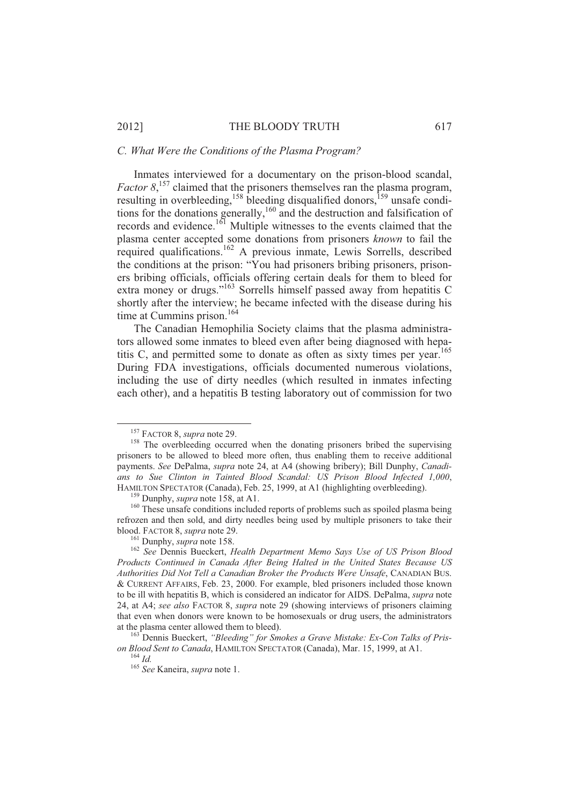#### *C. What Were the Conditions of the Plasma Program?*

Inmates interviewed for a documentary on the prison-blood scandal, *Factor* 8,<sup>157</sup> claimed that the prisoners themselves ran the plasma program, resulting in overbleeding,  $158$  bleeding disqualified donors,  $159$  unsafe conditions for the donations generally,<sup>160</sup> and the destruction and falsification of records and evidence.<sup>161</sup> Multiple witnesses to the events claimed that the plasma center accepted some donations from prisoners *known* to fail the required qualifications.<sup>162</sup> A previous inmate, Lewis Sorrells, described the conditions at the prison: "You had prisoners bribing prisoners, prisoners bribing officials, officials offering certain deals for them to bleed for extra money or drugs."<sup>163</sup> Sorrells himself passed away from hepatitis C shortly after the interview; he became infected with the disease during his time at Cummins prison. $164$ 

The Canadian Hemophilia Society claims that the plasma administrators allowed some inmates to bleed even after being diagnosed with hepatitis C, and permitted some to donate as often as sixty times per year.<sup>165</sup> During FDA investigations, officials documented numerous violations, including the use of dirty needles (which resulted in inmates infecting each other), and a hepatitis B testing laboratory out of commission for two

<sup>157</sup> FACTOR 8, *supra* note 29.

<sup>&</sup>lt;sup>158</sup> The overbleeding occurred when the donating prisoners bribed the supervising prisoners to be allowed to bleed more often, thus enabling them to receive additional payments. *See* DePalma, *supra* note 24, at A4 (showing bribery); Bill Dunphy, *Canadians to Sue Clinton in Tainted Blood Scandal: US Prison Blood Infected 1,000*, HAMILTON SPECTATOR (Canada), Feb. 25, 1999, at A1 (highlighting overbleeding).

<sup>159</sup> Dunphy, *supra* note 158, at A1.

<sup>&</sup>lt;sup>160</sup> These unsafe conditions included reports of problems such as spoiled plasma being refrozen and then sold, and dirty needles being used by multiple prisoners to take their blood. FACTOR 8, *supra* note 29.

<sup>161</sup> Dunphy, *supra* note 158.

<sup>162</sup> *See* Dennis Bueckert, *Health Department Memo Says Use of US Prison Blood Products Continued in Canada After Being Halted in the United States Because US Authorities Did Not Tell a Canadian Broker the Products Were Unsafe*, CANADIAN BUS. & CURRENT AFFAIRS, Feb. 23, 2000. For example, bled prisoners included those known to be ill with hepatitis B, which is considered an indicator for AIDS. DePalma, *supra* note 24, at A4; *see also* FACTOR 8, *supra* note 29 (showing interviews of prisoners claiming that even when donors were known to be homosexuals or drug users, the administrators at the plasma center allowed them to bleed).

<sup>163</sup> Dennis Bueckert, *"Bleeding" for Smokes a Grave Mistake: Ex-Con Talks of Prison Blood Sent to Canada*, HAMILTON SPECTATOR (Canada), Mar. 15, 1999, at A1.

<sup>164</sup> *Id.*

<sup>165</sup> *See* Kaneira, *supra* note 1.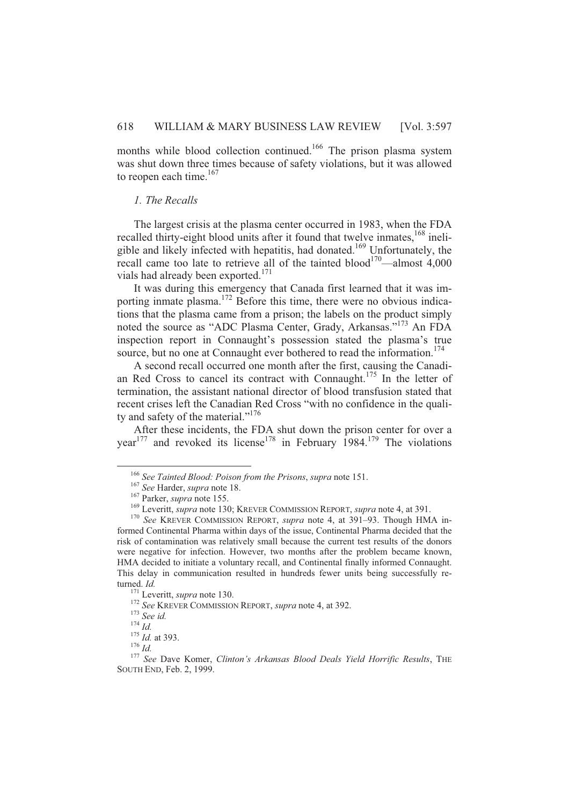months while blood collection continued.<sup>166</sup> The prison plasma system was shut down three times because of safety violations, but it was allowed to reopen each time. $167$ 

# *1. The Recalls*

The largest crisis at the plasma center occurred in 1983, when the FDA recalled thirty-eight blood units after it found that twelve inmates,<sup>168</sup> ineligible and likely infected with hepatitis, had donated.<sup>169</sup> Unfortunately, the recall came too late to retrieve all of the tainted blood<sup>170</sup>—almost 4,000 vials had already been exported.<sup>171</sup>

It was during this emergency that Canada first learned that it was importing inmate plasma.<sup>172</sup> Before this time, there were no obvious indications that the plasma came from a prison; the labels on the product simply noted the source as "ADC Plasma Center, Grady, Arkansas."<sup>173</sup> An FDA inspection report in Connaught's possession stated the plasma's true source, but no one at Connaught ever bothered to read the information.<sup>174</sup>

A second recall occurred one month after the first, causing the Canadian Red Cross to cancel its contract with Connaught.<sup>175</sup> In the letter of termination, the assistant national director of blood transfusion stated that recent crises left the Canadian Red Cross "with no confidence in the quality and safety of the material."<sup>176</sup>

After these incidents, the FDA shut down the prison center for over a year<sup>177</sup> and revoked its license<sup>178</sup> in February 1984.<sup>179</sup> The violations

 $\overline{a}$ 

<sup>176</sup> *Id.*

<sup>166</sup> *See Tainted Blood: Poison from the Prisons*, *supra* note 151.

<sup>167</sup> *See* Harder, *supra* note 18.

<sup>167</sup> Parker, *supra* note 155.

<sup>169</sup> Leveritt, *supra* note 130; KREVER COMMISSION REPORT, *supra* note 4, at 391.

<sup>170</sup> *See* KREVER COMMISSION REPORT, *supra* note 4, at 391–93. Though HMA informed Continental Pharma within days of the issue, Continental Pharma decided that the risk of contamination was relatively small because the current test results of the donors were negative for infection. However, two months after the problem became known, HMA decided to initiate a voluntary recall, and Continental finally informed Connaught. This delay in communication resulted in hundreds fewer units being successfully returned. *Id.*

<sup>171</sup> Leveritt, *supra* note 130.

<sup>172</sup> *See* KREVER COMMISSION REPORT, *supra* note 4, at 392.

<sup>173</sup> *See id.*

<sup>174</sup> *Id.*

<sup>175</sup> *Id.* at 393.

<sup>177</sup> *See* Dave Komer, *Clinton's Arkansas Blood Deals Yield Horrific Results*, THE SOUTH END, Feb. 2, 1999.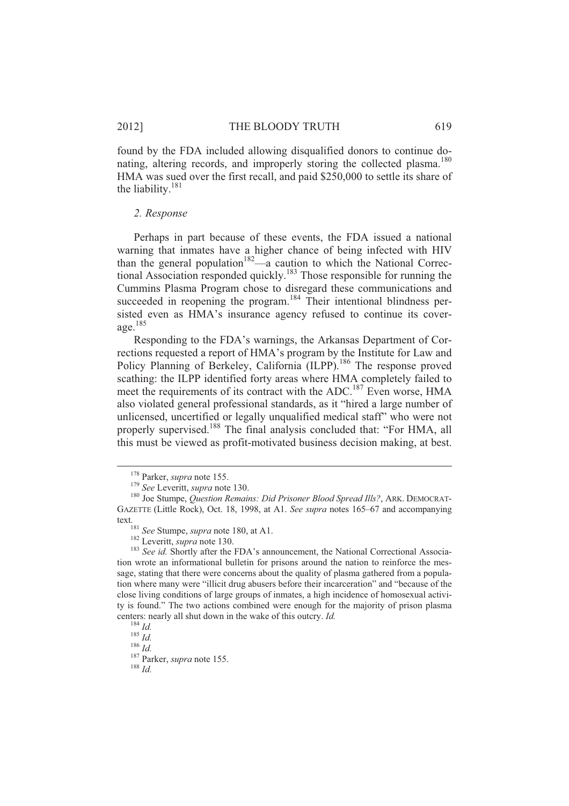found by the FDA included allowing disqualified donors to continue donating, altering records, and improperly storing the collected plasma.<sup>180</sup> HMA was sued over the first recall, and paid \$250,000 to settle its share of the liability.<sup>181</sup>

#### *2. Response*

Perhaps in part because of these events, the FDA issued a national warning that inmates have a higher chance of being infected with HIV than the general population<sup>182</sup>—a caution to which the National Correctional Association responded quickly.<sup>183</sup> Those responsible for running the Cummins Plasma Program chose to disregard these communications and succeeded in reopening the program.<sup>184</sup> Their intentional blindness persisted even as HMA's insurance agency refused to continue its coverage. $185$ 

Responding to the FDA's warnings, the Arkansas Department of Corrections requested a report of HMA's program by the Institute for Law and Policy Planning of Berkeley, California (ILPP).<sup>186</sup> The response proved scathing: the ILPP identified forty areas where HMA completely failed to meet the requirements of its contract with the ADC.<sup>187</sup> Even worse, HMA also violated general professional standards, as it "hired a large number of unlicensed, uncertified or legally unqualified medical staff" who were not properly supervised.<sup>188</sup> The final analysis concluded that: "For HMA, all this must be viewed as profit-motivated business decision making, at best.

 $\overline{a}$ 

<sup>178</sup> Parker, *supra* note 155.

<sup>179</sup> *See* Leveritt, *supra* note 130.

<sup>180</sup> Joe Stumpe, *Question Remains: Did Prisoner Blood Spread Ills?*, ARK. DEMOCRAT-GAZETTE (Little Rock), Oct. 18, 1998, at A1. *See supra* notes 165–67 and accompanying text.

<sup>181</sup> *See* Stumpe, *supra* note 180, at A1.

<sup>182</sup> Leveritt, *supra* note 130.

<sup>&</sup>lt;sup>183</sup> See id. Shortly after the FDA's announcement, the National Correctional Association wrote an informational bulletin for prisons around the nation to reinforce the message, stating that there were concerns about the quality of plasma gathered from a population where many were "illicit drug abusers before their incarceration" and "because of the close living conditions of large groups of inmates, a high incidence of homosexual activity is found." The two actions combined were enough for the majority of prison plasma centers: nearly all shut down in the wake of this outcry. *Id.*

<sup>184</sup> *Id.* <sup>185</sup> *Id.*

<sup>186</sup> *Id.*

<sup>187</sup> Parker, *supra* note 155.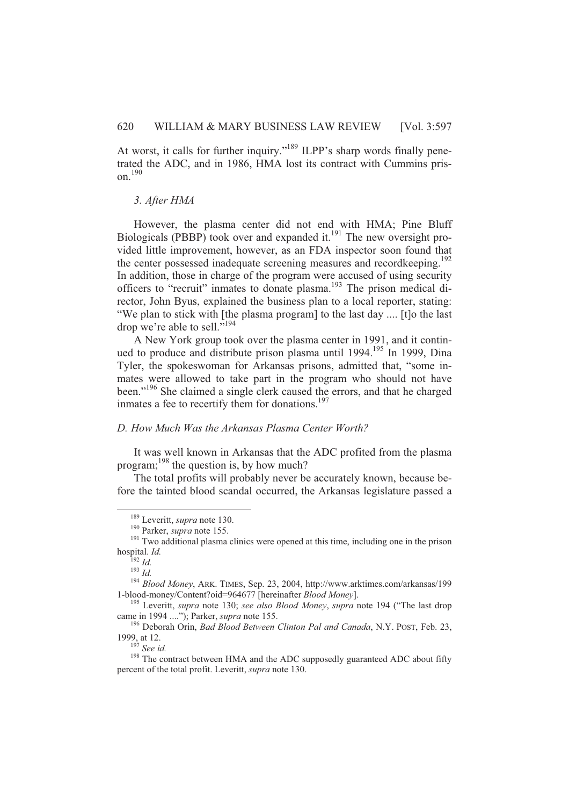At worst, it calls for further inquiry."<sup>189</sup> ILPP's sharp words finally penetrated the ADC, and in 1986, HMA lost its contract with Cummins prison.<sup>190</sup>

#### *3. After HMA*

However, the plasma center did not end with HMA; Pine Bluff Biologicals (PBBP) took over and expanded it. $^{191}$  The new oversight provided little improvement, however, as an FDA inspector soon found that the center possessed inadequate screening measures and recordkeeping.<sup>192</sup> In addition, those in charge of the program were accused of using security officers to "recruit" inmates to donate plasma.<sup>193</sup> The prison medical director, John Byus, explained the business plan to a local reporter, stating: "We plan to stick with [the plasma program] to the last day .... [t]o the last drop we're able to sell."<sup>194</sup>

A New York group took over the plasma center in 1991, and it continued to produce and distribute prison plasma until 1994.<sup>195</sup> In 1999, Dina Tyler, the spokeswoman for Arkansas prisons, admitted that, "some inmates were allowed to take part in the program who should not have been."<sup>196</sup> She claimed a single clerk caused the errors, and that he charged inmates a fee to recertify them for donations.<sup>197</sup>

# *D. How Much Was the Arkansas Plasma Center Worth?*

It was well known in Arkansas that the ADC profited from the plasma program; $^{198}$  the question is, by how much?

The total profits will probably never be accurately known, because before the tainted blood scandal occurred, the Arkansas legislature passed a

<sup>189</sup> Leveritt, *supra* note 130.

<sup>190</sup> Parker, *supra* note 155.

<sup>&</sup>lt;sup>191</sup> Two additional plasma clinics were opened at this time, including one in the prison hospital. *Id.*

<sup>192</sup> *Id.*

<sup>193</sup> *Id.*

<sup>194</sup> *Blood Money*, ARK. TIMES, Sep. 23, 2004, http://www.arktimes.com/arkansas/199 1-blood-money/Content?oid=964677 [hereinafter *Blood Money*].

<sup>195</sup> Leveritt, *supra* note 130; *see also Blood Money*, *supra* note 194 ("The last drop came in 1994 ...."); Parker, *supra* note 155.

<sup>196</sup> Deborah Orin, *Bad Blood Between Clinton Pal and Canada*, N.Y. POST, Feb. 23, 1999, at 12.

<sup>197</sup> *See id.*

<sup>&</sup>lt;sup>198</sup> The contract between HMA and the ADC supposedly guaranteed ADC about fifty percent of the total profit. Leveritt, *supra* note 130.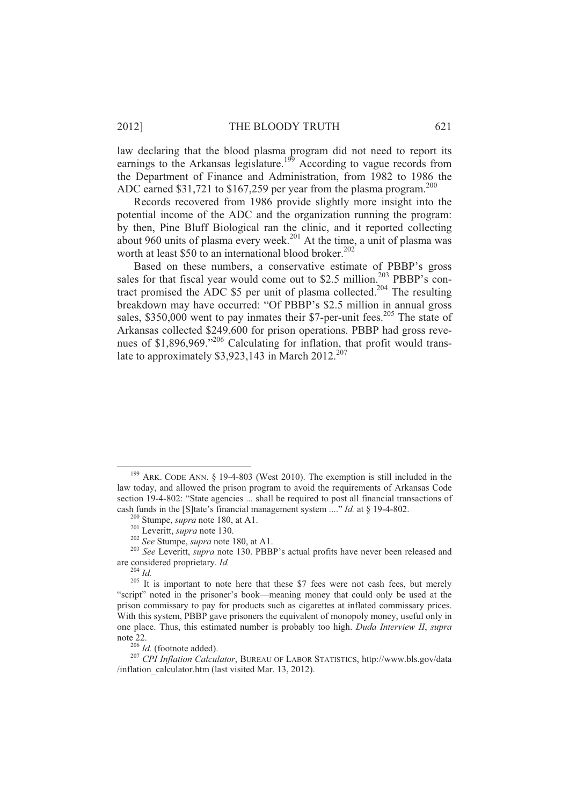law declaring that the blood plasma program did not need to report its earnings to the Arkansas legislature.<sup>199</sup> According to vague records from the Department of Finance and Administration, from 1982 to 1986 the ADC earned \$31,721 to \$167,259 per year from the plasma program.<sup>200</sup>

Records recovered from 1986 provide slightly more insight into the potential income of the ADC and the organization running the program: by then, Pine Bluff Biological ran the clinic, and it reported collecting about 960 units of plasma every week.<sup>201</sup> At the time, a unit of plasma was worth at least \$50 to an international blood broker. 202

Based on these numbers, a conservative estimate of PBBP's gross sales for that fiscal year would come out to \$2.5 million.<sup>203</sup> PBBP's contract promised the ADC \$5 per unit of plasma collected.<sup>204</sup> The resulting breakdown may have occurred: "Of PBBP's \$2.5 million in annual gross sales, \$350,000 went to pay inmates their \$7-per-unit fees.<sup>205</sup> The state of Arkansas collected \$249,600 for prison operations. PBBP had gross revenues of \$1,896,969."<sup>206</sup> Calculating for inflation, that profit would translate to approximately  $$3,923,143$  in March  $2012^{207}$ 

 $\overline{a}$ 

 $199$  ARK. CODE ANN. § 19-4-803 (West 2010). The exemption is still included in the law today, and allowed the prison program to avoid the requirements of Arkansas Code section 19-4-802: "State agencies ... shall be required to post all financial transactions of cash funds in the [S]tate's financial management system ...." *Id.* at § 19-4-802.

<sup>200</sup> Stumpe, *supra* note 180, at A1.

<sup>201</sup> Leveritt, *supra* note 130.

<sup>202</sup> *See* Stumpe, *supra* note 180, at A1.

<sup>&</sup>lt;sup>203</sup> *See Leveritt, supra* note 130. PBBP's actual profits have never been released and are considered proprietary. *Id.*

<sup>204</sup> *Id.*

<sup>&</sup>lt;sup>205</sup> It is important to note here that these \$7 fees were not cash fees, but merely "script" noted in the prisoner's book—meaning money that could only be used at the prison commissary to pay for products such as cigarettes at inflated commissary prices. With this system, PBBP gave prisoners the equivalent of monopoly money, useful only in one place. Thus, this estimated number is probably too high. *Duda Interview II*, *supra* note 22.

<sup>206</sup> *Id.* (footnote added).

<sup>207</sup> *CPI Inflation Calculator*, BUREAU OF LABOR STATISTICS, http://www.bls.gov/data /inflation\_calculator.htm (last visited Mar. 13, 2012).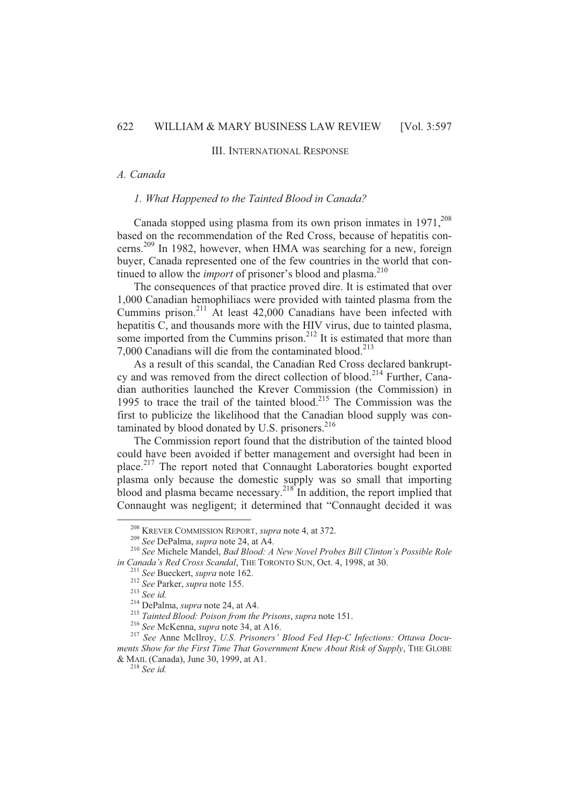# III. INTERNATIONAL RESPONSE

# *A. Canada*

# *1. What Happened to the Tainted Blood in Canada?*

Canada stopped using plasma from its own prison inmates in  $1971$ ,<sup>208</sup> based on the recommendation of the Red Cross, because of hepatitis concerns.<sup>209</sup> In 1982, however, when HMA was searching for a new, foreign buyer, Canada represented one of the few countries in the world that continued to allow the *import* of prisoner's blood and plasma.<sup>210</sup>

The consequences of that practice proved dire. It is estimated that over 1,000 Canadian hemophiliacs were provided with tainted plasma from the Cummins prison.<sup>211</sup> At least 42,000 Canadians have been infected with hepatitis C, and thousands more with the HIV virus, due to tainted plasma, some imported from the Cummins prison.<sup>212</sup> It is estimated that more than 7,000 Canadians will die from the contaminated blood.<sup>213</sup>

As a result of this scandal, the Canadian Red Cross declared bankruptcy and was removed from the direct collection of blood.<sup>214</sup> Further, Canadian authorities launched the Krever Commission (the Commission) in 1995 to trace the trail of the tainted blood.<sup>215</sup> The Commission was the first to publicize the likelihood that the Canadian blood supply was contaminated by blood donated by U.S. prisoners. $2^{16}$ 

The Commission report found that the distribution of the tainted blood could have been avoided if better management and oversight had been in place.<sup>217</sup> The report noted that Connaught Laboratories bought exported plasma only because the domestic supply was so small that importing blood and plasma became necessary.<sup>218</sup> In addition, the report implied that Connaught was negligent; it determined that "Connaught decided it was

 $\overline{a}$ 

<sup>218</sup> *See id.*

<sup>208</sup> KREVER COMMISSION REPORT, *supra* note 4, at 372.

<sup>209</sup> *See* DePalma, *supra* note 24, at A4.

<sup>210</sup> *See* Michele Mandel, *Bad Blood: A New Novel Probes Bill Clinton's Possible Role in Canada's Red Cross Scandal*, THE TORONTO SUN, Oct. 4, 1998, at 30.

<sup>211</sup> *See* Bueckert, *supra* note 162.

<sup>212</sup> *See* Parker, *supra* note 155.

<sup>213</sup> *See id.*

<sup>214</sup> DePalma, *supra* note 24, at A4.

<sup>215</sup> *Tainted Blood: Poison from the Prisons*, *supra* note 151.

<sup>216</sup> *See* McKenna, *supra* note 34, at A16.

<sup>217</sup> *See* Anne McIlroy, *U.S. Prisoners' Blood Fed Hep-C Infections: Ottawa Documents Show for the First Time That Government Knew About Risk of Supply*, THE GLOBE & MAIL (Canada), June 30, 1999, at A1.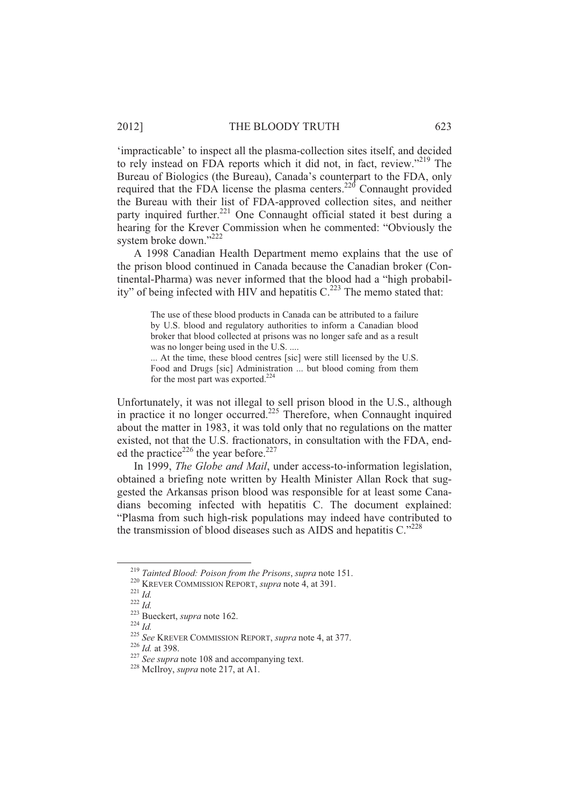'impracticable' to inspect all the plasma-collection sites itself, and decided to rely instead on FDA reports which it did not, in fact, review."<sup>219</sup> The Bureau of Biologics (the Bureau), Canada's counterpart to the FDA, only required that the FDA license the plasma centers.<sup>220</sup> Connaught provided the Bureau with their list of FDA-approved collection sites, and neither party inquired further.<sup>221</sup> One Connaught official stated it best during a hearing for the Krever Commission when he commented: "Obviously the system broke down."<sup>222</sup>

A 1998 Canadian Health Department memo explains that the use of the prison blood continued in Canada because the Canadian broker (Continental-Pharma) was never informed that the blood had a "high probability" of being infected with HIV and hepatitis  $C<sup>223</sup>$ . The memo stated that:

The use of these blood products in Canada can be attributed to a failure by U.S. blood and regulatory authorities to inform a Canadian blood broker that blood collected at prisons was no longer safe and as a result was no longer being used in the U.S. ....

... At the time, these blood centres [sic] were still licensed by the U.S. Food and Drugs [sic] Administration ... but blood coming from them for the most part was exported. $224$ 

Unfortunately, it was not illegal to sell prison blood in the U.S., although in practice it no longer occurred.<sup>225</sup> Therefore, when Connaught inquired about the matter in 1983, it was told only that no regulations on the matter existed, not that the U.S. fractionators, in consultation with the FDA, ended the practice<sup>226</sup> the year before.<sup>227</sup>

In 1999, *The Globe and Mail*, under access-to-information legislation, obtained a briefing note written by Health Minister Allan Rock that suggested the Arkansas prison blood was responsible for at least some Canadians becoming infected with hepatitis C. The document explained: "Plasma from such high-risk populations may indeed have contributed to the transmission of blood diseases such as AIDS and hepatitis  $C^{3228}$ 

<sup>219</sup> *Tainted Blood: Poison from the Prisons*, *supra* note 151.

<sup>220</sup> KREVER COMMISSION REPORT, *supra* note 4, at 391.

<sup>221</sup> *Id.*

<sup>222</sup> *Id.*

<sup>223</sup> Bueckert, *supra* note 162.

<sup>224</sup> *Id.*

<sup>225</sup> *See* KREVER COMMISSION REPORT, *supra* note 4, at 377.

<sup>226</sup> *Id.* at 398.

<sup>&</sup>lt;sup>227</sup> *See supra* note 108 and accompanying text.

<sup>228</sup> McIlroy, *supra* note 217, at A1.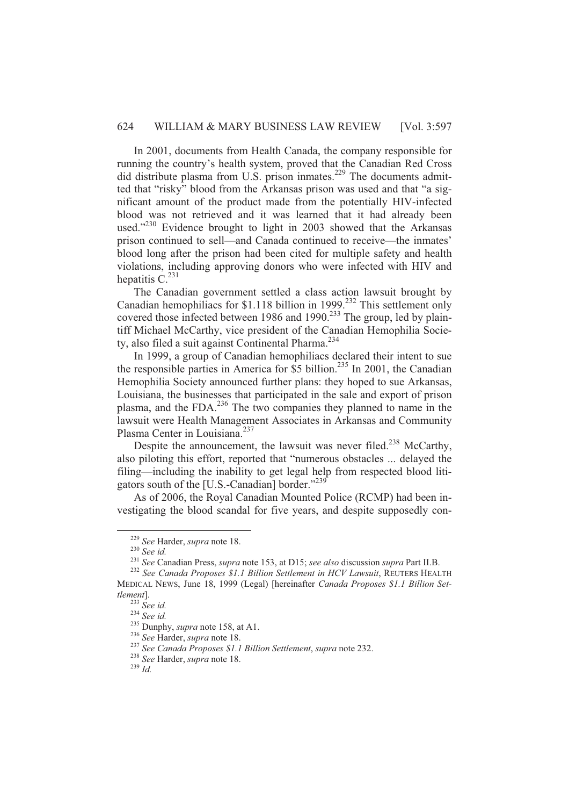In 2001, documents from Health Canada, the company responsible for running the country's health system, proved that the Canadian Red Cross did distribute plasma from U.S. prison inmates.<sup>229</sup> The documents admitted that "risky" blood from the Arkansas prison was used and that "a significant amount of the product made from the potentially HIV-infected blood was not retrieved and it was learned that it had already been used."<sup>230</sup> Evidence brought to light in 2003 showed that the Arkansas prison continued to sell—and Canada continued to receive—the inmates' blood long after the prison had been cited for multiple safety and health violations, including approving donors who were infected with HIV and hepatitis  $C<sup>231</sup>$ 

The Canadian government settled a class action lawsuit brought by Canadian hemophiliacs for \$1.118 billion in 1999.<sup>232</sup> This settlement only covered those infected between 1986 and 1990.<sup>233</sup> The group, led by plaintiff Michael McCarthy, vice president of the Canadian Hemophilia Society, also filed a suit against Continental Pharma.<sup>234</sup>

In 1999, a group of Canadian hemophiliacs declared their intent to sue the responsible parties in America for  $$5$  billion.<sup>235</sup> In 2001, the Canadian Hemophilia Society announced further plans: they hoped to sue Arkansas, Louisiana, the businesses that participated in the sale and export of prison plasma, and the FDA.<sup>236</sup> The two companies they planned to name in the lawsuit were Health Management Associates in Arkansas and Community Plasma Center in Louisiana.<sup>237</sup>

Despite the announcement, the lawsuit was never filed.<sup>238</sup> McCarthy, also piloting this effort, reported that "numerous obstacles ... delayed the filing—including the inability to get legal help from respected blood litigators south of the [U.S.-Canadian] border."<sup>239</sup>

As of 2006, the Royal Canadian Mounted Police (RCMP) had been investigating the blood scandal for five years, and despite supposedly con-

 $\overline{a}$ 

<sup>229</sup> *See* Harder, *supra* note 18.

<sup>230</sup> *See id.*

<sup>231</sup> *See* Canadian Press, *supra* note 153, at D15; *see also* discussion *supra* Part II.B.

<sup>&</sup>lt;sup>232</sup> See Canada Proposes \$1.1 Billion Settlement in HCV Lawsuit, REUTERS HEALTH MEDICAL NEWS, June 18, 1999 (Legal) [hereinafter *Canada Proposes \$1.1 Billion Settlement*].

<sup>233</sup> *See id.*

<sup>234</sup> *See id.*

<sup>&</sup>lt;sup>235</sup> Dunphy, *supra* note 158, at A1.

<sup>236</sup> *See* Harder, *supra* note 18.

<sup>237</sup> *See Canada Proposes \$1.1 Billion Settlement*, *supra* note 232.

<sup>238</sup> *See* Harder, *supra* note 18.

<sup>239</sup> *Id.*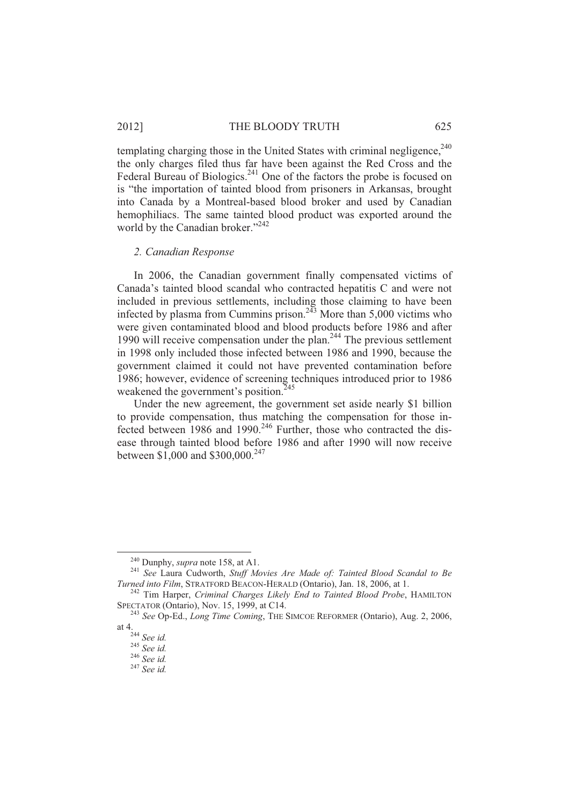#### 2012] THE BLOODY TRUTH 625

templating charging those in the United States with criminal negligence,<sup>240</sup> the only charges filed thus far have been against the Red Cross and the Federal Bureau of Biologics.<sup>241</sup> One of the factors the probe is focused on is "the importation of tainted blood from prisoners in Arkansas, brought into Canada by a Montreal-based blood broker and used by Canadian hemophiliacs. The same tainted blood product was exported around the world by the Canadian broker."<sup>242</sup>

#### *2. Canadian Response*

In 2006, the Canadian government finally compensated victims of Canada's tainted blood scandal who contracted hepatitis C and were not included in previous settlements, including those claiming to have been infected by plasma from Cummins prison.<sup>243</sup> More than  $5,000$  victims who were given contaminated blood and blood products before 1986 and after 1990 will receive compensation under the plan.<sup>244</sup> The previous settlement in 1998 only included those infected between 1986 and 1990, because the government claimed it could not have prevented contamination before 1986; however, evidence of screening techniques introduced prior to 1986 weakened the government's position.<sup>245</sup>

Under the new agreement, the government set aside nearly \$1 billion to provide compensation, thus matching the compensation for those infected between 1986 and 1990.<sup>246</sup> Further, those who contracted the disease through tainted blood before 1986 and after 1990 will now receive between \$1,000 and \$300,000.<sup>247</sup>

<sup>240</sup> Dunphy, *supra* note 158, at A1.

<sup>241</sup> *See* Laura Cudworth, *Stuff Movies Are Made of: Tainted Blood Scandal to Be Turned into Film*, STRATFORD BEACON-HERALD (Ontario), Jan. 18, 2006, at 1.

<sup>242</sup> Tim Harper, *Criminal Charges Likely End to Tainted Blood Probe*, HAMILTON SPECTATOR (Ontario), Nov. 15, 1999, at C14.

<sup>243</sup> *See* Op-Ed., *Long Time Coming*, THE SIMCOE REFORMER (Ontario), Aug. 2, 2006, at 4.

<sup>244</sup> *See id.*

<sup>245</sup> *See id.*

<sup>246</sup> *See id.*

<sup>247</sup> *See id.*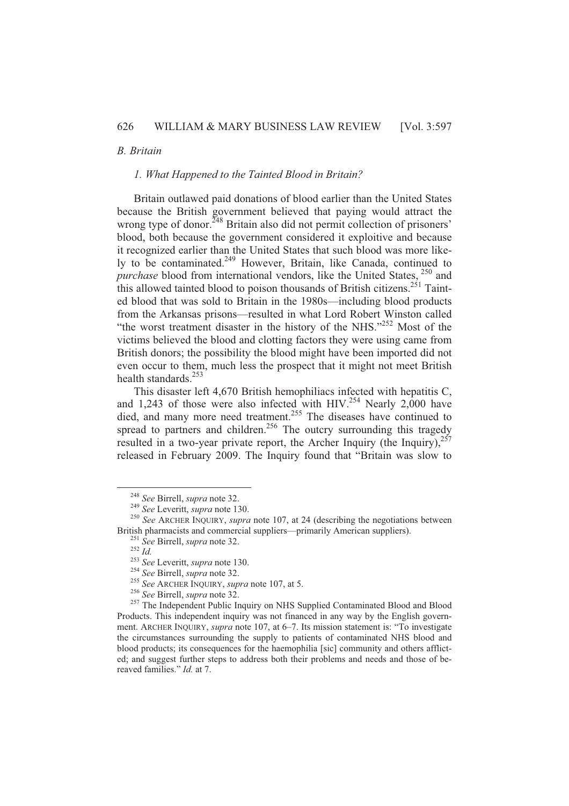# *B. Britain*

#### *1. What Happened to the Tainted Blood in Britain?*

Britain outlawed paid donations of blood earlier than the United States because the British government believed that paying would attract the wrong type of donor.<sup>248</sup> Britain also did not permit collection of prisoners' blood, both because the government considered it exploitive and because it recognized earlier than the United States that such blood was more likely to be contaminated. $^{249}$  However, Britain, like Canada, continued to *purchase* blood from international vendors, like the United States, <sup>250</sup> and this allowed tainted blood to poison thousands of British citizens.<sup>251</sup> Tainted blood that was sold to Britain in the 1980s—including blood products from the Arkansas prisons—resulted in what Lord Robert Winston called "the worst treatment disaster in the history of the NHS."<sup>252</sup> Most of the victims believed the blood and clotting factors they were using came from British donors; the possibility the blood might have been imported did not even occur to them, much less the prospect that it might not meet British health standards.<sup>253</sup>

This disaster left 4,670 British hemophiliacs infected with hepatitis C, and 1,243 of those were also infected with HIV.<sup>254</sup> Nearly 2,000 have died, and many more need treatment.<sup>255</sup> The diseases have continued to spread to partners and children.<sup>256</sup> The outcry surrounding this tragedy resulted in a two-year private report, the Archer Inquiry (the Inquiry),  $257$ released in February 2009. The Inquiry found that "Britain was slow to

<sup>248</sup> *See* Birrell, *supra* note 32.

<sup>249</sup> *See* Leveritt, *supra* note 130.

<sup>&</sup>lt;sup>250</sup> See ARCHER INQUIRY, *supra* note 107, at 24 (describing the negotiations between British pharmacists and commercial suppliers—primarily American suppliers).

<sup>251</sup> *See* Birrell, *supra* note 32.

<sup>252</sup> *Id.*

<sup>253</sup> *See* Leveritt, *supra* note 130.

<sup>254</sup> *See* Birrell, *supra* note 32.

<sup>255</sup> *See* ARCHER INQUIRY, *supra* note 107, at 5.

<sup>256</sup> *See* Birrell, *supra* note 32.

<sup>&</sup>lt;sup>257</sup> The Independent Public Inquiry on NHS Supplied Contaminated Blood and Blood Products. This independent inquiry was not financed in any way by the English government. ARCHER INQUIRY, *supra* note 107, at 6–7. Its mission statement is: "To investigate the circumstances surrounding the supply to patients of contaminated NHS blood and blood products; its consequences for the haemophilia [sic] community and others afflicted; and suggest further steps to address both their problems and needs and those of bereaved families." *Id.* at 7.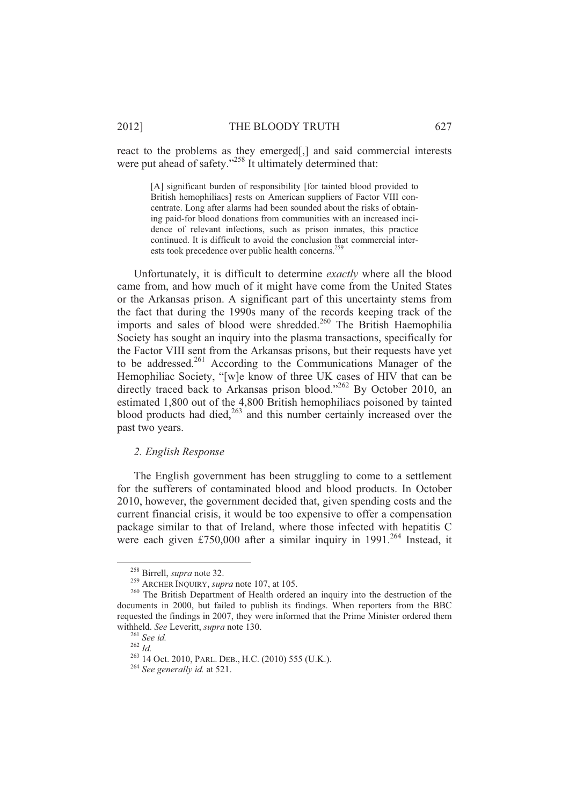react to the problems as they emerged[,] and said commercial interests were put ahead of safety."<sup>258</sup> It ultimately determined that:

[A] significant burden of responsibility [for tainted blood provided to British hemophiliacs] rests on American suppliers of Factor VIII concentrate. Long after alarms had been sounded about the risks of obtaining paid-for blood donations from communities with an increased incidence of relevant infections, such as prison inmates, this practice continued. It is difficult to avoid the conclusion that commercial interests took precedence over public health concerns.<sup>259</sup>

Unfortunately, it is difficult to determine *exactly* where all the blood came from, and how much of it might have come from the United States or the Arkansas prison. A significant part of this uncertainty stems from the fact that during the 1990s many of the records keeping track of the imports and sales of blood were shredded.<sup>260</sup> The British Haemophilia Society has sought an inquiry into the plasma transactions, specifically for the Factor VIII sent from the Arkansas prisons, but their requests have yet to be addressed.<sup>261</sup> According to the Communications Manager of the Hemophiliac Society, "[w]e know of three UK cases of HIV that can be directly traced back to Arkansas prison blood."<sup>262</sup> By October 2010, an estimated 1,800 out of the 4,800 British hemophiliacs poisoned by tainted blood products had died, $263$  and this number certainly increased over the past two years.

# *2. English Response*

The English government has been struggling to come to a settlement for the sufferers of contaminated blood and blood products. In October 2010, however, the government decided that, given spending costs and the current financial crisis, it would be too expensive to offer a compensation package similar to that of Ireland, where those infected with hepatitis C were each given £750,000 after a similar inquiry in  $1991$ <sup>264</sup> Instead, it

<sup>258</sup> Birrell, *supra* note 32.

<sup>259</sup> ARCHER INQUIRY, *supra* note 107, at 105.

<sup>&</sup>lt;sup>260</sup> The British Department of Health ordered an inquiry into the destruction of the documents in 2000, but failed to publish its findings. When reporters from the BBC requested the findings in 2007, they were informed that the Prime Minister ordered them withheld. *See* Leveritt, *supra* note 130.

<sup>261</sup> *See id.*

 $^{262}$   $\stackrel{\sim}{Id}.$ 

<sup>&</sup>lt;sup>263</sup> 14 Oct. 2010, PARL. DEB., H.C. (2010) 555 (U.K.).

<sup>264</sup> *See generally id.* at 521.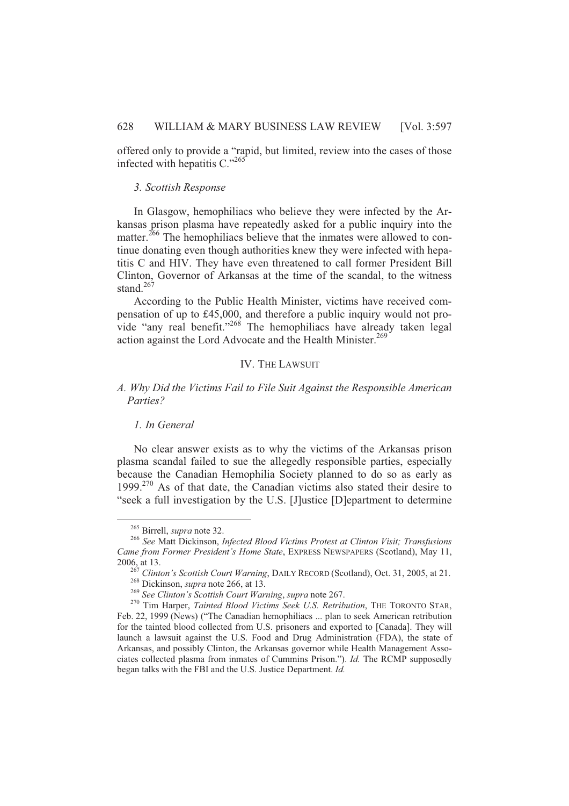offered only to provide a "rapid, but limited, review into the cases of those infected with hepatitis  $C$ ."<sup>265</sup>

#### *3. Scottish Response*

In Glasgow, hemophiliacs who believe they were infected by the Arkansas prison plasma have repeatedly asked for a public inquiry into the matter.<sup>266</sup> The hemophiliacs believe that the inmates were allowed to continue donating even though authorities knew they were infected with hepatitis C and HIV. They have even threatened to call former President Bill Clinton, Governor of Arkansas at the time of the scandal, to the witness stand $^{267}$ 

According to the Public Health Minister, victims have received compensation of up to £45,000, and therefore a public inquiry would not provide "any real benefit."<sup>268</sup> The hemophiliacs have already taken legal action against the Lord Advocate and the Health Minister.<sup>269</sup>

# IV. THE LAWSUIT

# *A. Why Did the Victims Fail to File Suit Against the Responsible American Parties?*

# *1. In General*

No clear answer exists as to why the victims of the Arkansas prison plasma scandal failed to sue the allegedly responsible parties, especially because the Canadian Hemophilia Society planned to do so as early as 1999.<sup>270</sup> As of that date, the Canadian victims also stated their desire to "seek a full investigation by the U.S. [J]ustice [D]epartment to determine

 $\overline{a}$ 

<sup>265</sup> Birrell, *supra* note 32.

<sup>266</sup> *See* Matt Dickinson, *Infected Blood Victims Protest at Clinton Visit; Transfusions Came from Former President's Home State*, EXPRESS NEWSPAPERS (Scotland), May 11, 2006, at 13.

<sup>267</sup> *Clinton's Scottish Court Warning*, DAILY RECORD (Scotland), Oct. 31, 2005, at 21. <sup>268</sup> Dickinson, *supra* note 266, at 13.

<sup>269</sup> *See Clinton's Scottish Court Warning*, *supra* note 267.

<sup>270</sup> Tim Harper, *Tainted Blood Victims Seek U.S. Retribution*, THE TORONTO STAR, Feb. 22, 1999 (News) ("The Canadian hemophiliacs ... plan to seek American retribution for the tainted blood collected from U.S. prisoners and exported to [Canada]. They will launch a lawsuit against the U.S. Food and Drug Administration (FDA), the state of Arkansas, and possibly Clinton, the Arkansas governor while Health Management Associates collected plasma from inmates of Cummins Prison."). *Id.* The RCMP supposedly began talks with the FBI and the U.S. Justice Department. *Id.*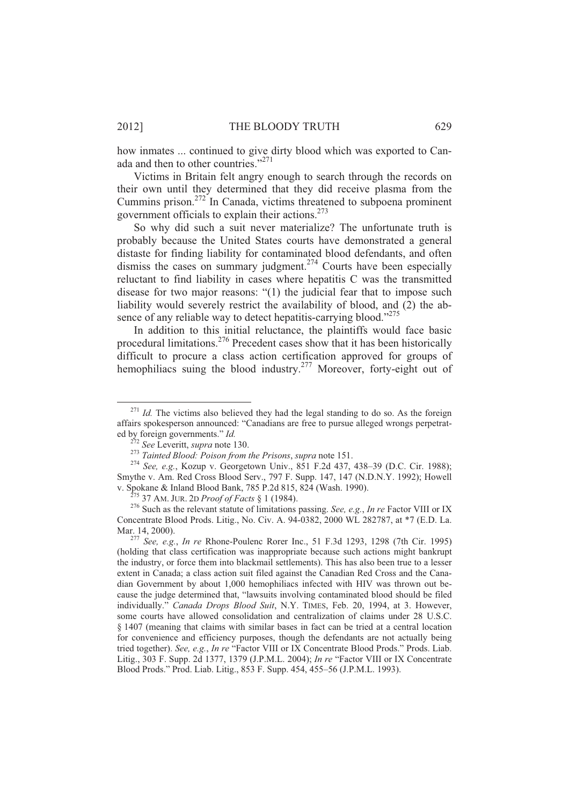how inmates ... continued to give dirty blood which was exported to Canada and then to other countries."<sup>271</sup>

Victims in Britain felt angry enough to search through the records on their own until they determined that they did receive plasma from the Cummins prison.<sup>272</sup> In Canada, victims threatened to subpoena prominent government officials to explain their actions.<sup>273</sup>

So why did such a suit never materialize? The unfortunate truth is probably because the United States courts have demonstrated a general distaste for finding liability for contaminated blood defendants, and often dismiss the cases on summary judgment.<sup>274</sup> Courts have been especially reluctant to find liability in cases where hepatitis C was the transmitted disease for two major reasons: "(1) the judicial fear that to impose such liability would severely restrict the availability of blood, and (2) the absence of any reliable way to detect hepatitis-carrying blood."<sup>275</sup>

In addition to this initial reluctance, the plaintiffs would face basic procedural limitations.<sup>276</sup> Precedent cases show that it has been historically difficult to procure a class action certification approved for groups of hemophiliacs suing the blood industry.<sup>277</sup> Moreover, forty-eight out of

 $\overline{a}$ 

<sup>&</sup>lt;sup>271</sup> *Id.* The victims also believed they had the legal standing to do so. As the foreign affairs spokesperson announced: "Canadians are free to pursue alleged wrongs perpetrated by foreign governments." *Id.*

<sup>272</sup> *See* Leveritt, *supra* note 130.

<sup>273</sup> *Tainted Blood: Poison from the Prisons*, *supra* note 151.

<sup>274</sup> *See, e.g.*, Kozup v. Georgetown Univ., 851 F.2d 437, 438–39 (D.C. Cir. 1988); Smythe v. Am. Red Cross Blood Serv., 797 F. Supp. 147, 147 (N.D.N.Y. 1992); Howell v. Spokane & Inland Blood Bank, 785 P.2d 815, 824 (Wash. 1990).

<sup>275</sup> 37 AM. JUR. 2D *Proof of Facts* § 1 (1984).

<sup>276</sup> Such as the relevant statute of limitations passing. *See, e.g.*, *In re* Factor VIII or IX Concentrate Blood Prods. Litig., No. Civ. A. 94-0382, 2000 WL 282787, at \*7 (E.D. La. Mar. 14, 2000).

<sup>277</sup> *See, e.g.*, *In re* Rhone-Poulenc Rorer Inc., 51 F.3d 1293, 1298 (7th Cir. 1995) (holding that class certification was inappropriate because such actions might bankrupt the industry, or force them into blackmail settlements). This has also been true to a lesser extent in Canada; a class action suit filed against the Canadian Red Cross and the Canadian Government by about 1,000 hemophiliacs infected with HIV was thrown out because the judge determined that, "lawsuits involving contaminated blood should be filed individually." *Canada Drops Blood Suit*, N.Y. TIMES, Feb. 20, 1994, at 3. However, some courts have allowed consolidation and centralization of claims under 28 U.S.C. § 1407 (meaning that claims with similar bases in fact can be tried at a central location for convenience and efficiency purposes, though the defendants are not actually being tried together). *See, e.g.*, *In re* "Factor VIII or IX Concentrate Blood Prods." Prods. Liab. Litig., 303 F. Supp. 2d 1377, 1379 (J.P.M.L. 2004); *In re* "Factor VIII or IX Concentrate Blood Prods." Prod. Liab. Litig., 853 F. Supp. 454, 455–56 (J.P.M.L. 1993).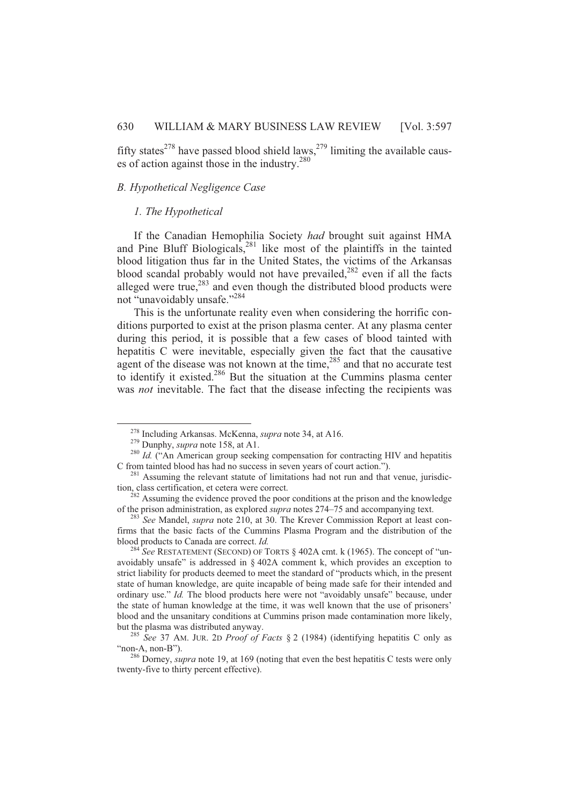fifty states<sup>278</sup> have passed blood shield laws,<sup>279</sup> limiting the available causes of action against those in the industry. $280$ 

# *B. Hypothetical Negligence Case*

#### *1. The Hypothetical*

If the Canadian Hemophilia Society *had* brought suit against HMA and Pine Bluff Biologicals,<sup>281</sup> like most of the plaintiffs in the tainted blood litigation thus far in the United States, the victims of the Arkansas blood scandal probably would not have prevailed, $282$  even if all the facts alleged were true, $283$  and even though the distributed blood products were not "unavoidably unsafe."<sup>284</sup>

This is the unfortunate reality even when considering the horrific conditions purported to exist at the prison plasma center. At any plasma center during this period, it is possible that a few cases of blood tainted with hepatitis C were inevitable, especially given the fact that the causative agent of the disease was not known at the time,  $285$  and that no accurate test to identify it existed.<sup>286</sup> But the situation at the Cummins plasma center was *not* inevitable. The fact that the disease infecting the recipients was

<sup>278</sup> Including Arkansas. McKenna, *supra* note 34, at A16.

<sup>279</sup> Dunphy, *supra* note 158, at A1.

<sup>&</sup>lt;sup>280</sup> Id. ("An American group seeking compensation for contracting HIV and hepatitis C from tainted blood has had no success in seven years of court action.").

<sup>&</sup>lt;sup>281</sup> Assuming the relevant statute of limitations had not run and that venue, jurisdiction, class certification, et cetera were correct.

 $282$  Assuming the evidence proved the poor conditions at the prison and the knowledge of the prison administration, as explored *supra* notes 274–75 and accompanying text.

<sup>283</sup> *See* Mandel, *supra* note 210, at 30. The Krever Commission Report at least confirms that the basic facts of the Cummins Plasma Program and the distribution of the blood products to Canada are correct. *Id.*

<sup>&</sup>lt;sup>284</sup> See RESTATEMENT (SECOND) OF TORTS § 402A cmt. k (1965). The concept of "unavoidably unsafe" is addressed in § 402A comment k, which provides an exception to strict liability for products deemed to meet the standard of "products which, in the present state of human knowledge, are quite incapable of being made safe for their intended and ordinary use." *Id.* The blood products here were not "avoidably unsafe" because, under the state of human knowledge at the time, it was well known that the use of prisoners' blood and the unsanitary conditions at Cummins prison made contamination more likely, but the plasma was distributed anyway.

<sup>285</sup> *See* 37 AM. JUR. 2D *Proof of Facts* § 2 (1984) (identifying hepatitis C only as "non-A, non-B").

<sup>286</sup> Dorney, *supra* note 19, at 169 (noting that even the best hepatitis C tests were only twenty-five to thirty percent effective).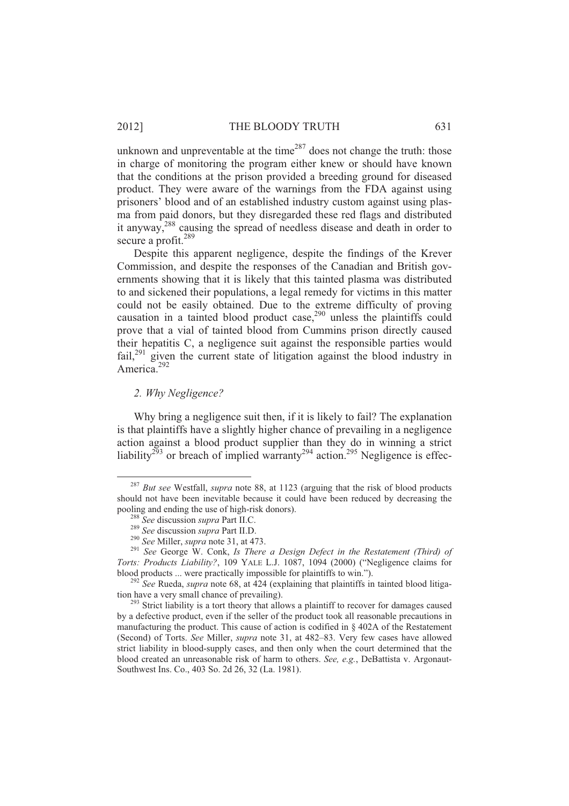unknown and unpreventable at the time<sup>287</sup> does not change the truth: those in charge of monitoring the program either knew or should have known that the conditions at the prison provided a breeding ground for diseased product. They were aware of the warnings from the FDA against using prisoners' blood and of an established industry custom against using plasma from paid donors, but they disregarded these red flags and distributed it anyway,<sup>288</sup> causing the spread of needless disease and death in order to secure a profit.<sup>289</sup>

Despite this apparent negligence, despite the findings of the Krever Commission, and despite the responses of the Canadian and British governments showing that it is likely that this tainted plasma was distributed to and sickened their populations, a legal remedy for victims in this matter could not be easily obtained. Due to the extreme difficulty of proving causation in a tainted blood product case, $290$  unless the plaintiffs could prove that a vial of tainted blood from Cummins prison directly caused their hepatitis C, a negligence suit against the responsible parties would  $fail<sub>1</sub><sup>291</sup>$  given the current state of litigation against the blood industry in America.<sup>292</sup>

# *2. Why Negligence?*

l

Why bring a negligence suit then, if it is likely to fail? The explanation is that plaintiffs have a slightly higher chance of prevailing in a negligence action against a blood product supplier than they do in winning a strict liability<sup>293</sup> or breach of implied warranty<sup>294</sup> action.<sup>295</sup> Negligence is effec-

<sup>287</sup> *But see* Westfall, *supra* note 88, at 1123 (arguing that the risk of blood products should not have been inevitable because it could have been reduced by decreasing the pooling and ending the use of high-risk donors).

<sup>288</sup> *See* discussion *supra* Part II.C.

<sup>289</sup> *See* discussion *supra* Part II.D.

<sup>290</sup> *See* Miller, *supra* note 31, at 473.

<sup>291</sup> *See* George W. Conk, *Is There a Design Defect in the Restatement (Third) of Torts: Products Liability?*, 109 YALE L.J. 1087, 1094 (2000) ("Negligence claims for blood products ... were practically impossible for plaintiffs to win.").

<sup>&</sup>lt;sup>292</sup> See Rueda, *supra* note 68, at 424 (explaining that plaintiffs in tainted blood litigation have a very small chance of prevailing).

<sup>&</sup>lt;sup>293</sup> Strict liability is a tort theory that allows a plaintiff to recover for damages caused by a defective product, even if the seller of the product took all reasonable precautions in manufacturing the product. This cause of action is codified in § 402A of the Restatement (Second) of Torts. *See* Miller, *supra* note 31, at 482–83. Very few cases have allowed strict liability in blood-supply cases, and then only when the court determined that the blood created an unreasonable risk of harm to others. *See, e.g.*, DeBattista v. Argonaut-Southwest Ins. Co., 403 So. 2d 26, 32 (La. 1981).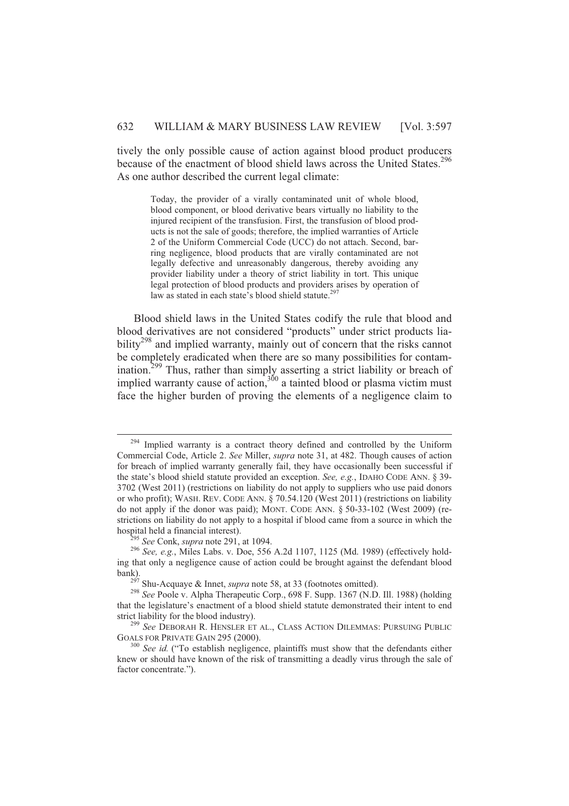tively the only possible cause of action against blood product producers because of the enactment of blood shield laws across the United States.<sup>296</sup> As one author described the current legal climate:

Today, the provider of a virally contaminated unit of whole blood, blood component, or blood derivative bears virtually no liability to the injured recipient of the transfusion. First, the transfusion of blood products is not the sale of goods; therefore, the implied warranties of Article 2 of the Uniform Commercial Code (UCC) do not attach. Second, barring negligence, blood products that are virally contaminated are not legally defective and unreasonably dangerous, thereby avoiding any provider liability under a theory of strict liability in tort. This unique legal protection of blood products and providers arises by operation of law as stated in each state's blood shield statute.<sup>297</sup>

Blood shield laws in the United States codify the rule that blood and blood derivatives are not considered "products" under strict products liability<sup>298</sup> and implied warranty, mainly out of concern that the risks cannot be completely eradicated when there are so many possibilities for contamination.<sup>299</sup> Thus, rather than simply asserting a strict liability or breach of implied warranty cause of action,  $300$  a tainted blood or plasma victim must face the higher burden of proving the elements of a negligence claim to

<sup>&</sup>lt;sup>294</sup> Implied warranty is a contract theory defined and controlled by the Uniform Commercial Code, Article 2. *See* Miller, *supra* note 31, at 482. Though causes of action for breach of implied warranty generally fail, they have occasionally been successful if the state's blood shield statute provided an exception. *See, e.g.*, IDAHO CODE ANN. § 39- 3702 (West 2011) (restrictions on liability do not apply to suppliers who use paid donors or who profit); WASH. REV. CODE ANN. § 70.54.120 (West 2011) (restrictions on liability do not apply if the donor was paid); MONT. CODE ANN. § 50-33-102 (West 2009) (restrictions on liability do not apply to a hospital if blood came from a source in which the hospital held a financial interest).

<sup>295</sup> *See* Conk, *supra* note 291, at 1094.

<sup>296</sup> *See, e.g.*, Miles Labs. v. Doe, 556 A.2d 1107, 1125 (Md. 1989) (effectively holding that only a negligence cause of action could be brought against the defendant blood bank).

 $^{297}$  Shu-Acquaye & Innet, *supra* note 58, at 33 (footnotes omitted).

<sup>298</sup> *See* Poole v. Alpha Therapeutic Corp., 698 F. Supp. 1367 (N.D. Ill. 1988) (holding that the legislature's enactment of a blood shield statute demonstrated their intent to end strict liability for the blood industry).

<sup>299</sup> *See* DEBORAH R. HENSLER ET AL., CLASS ACTION DILEMMAS: PURSUING PUBLIC GOALS FOR PRIVATE GAIN 295 (2000).

<sup>&</sup>lt;sup>300</sup> *See id.* ("To establish negligence, plaintiffs must show that the defendants either knew or should have known of the risk of transmitting a deadly virus through the sale of factor concentrate.").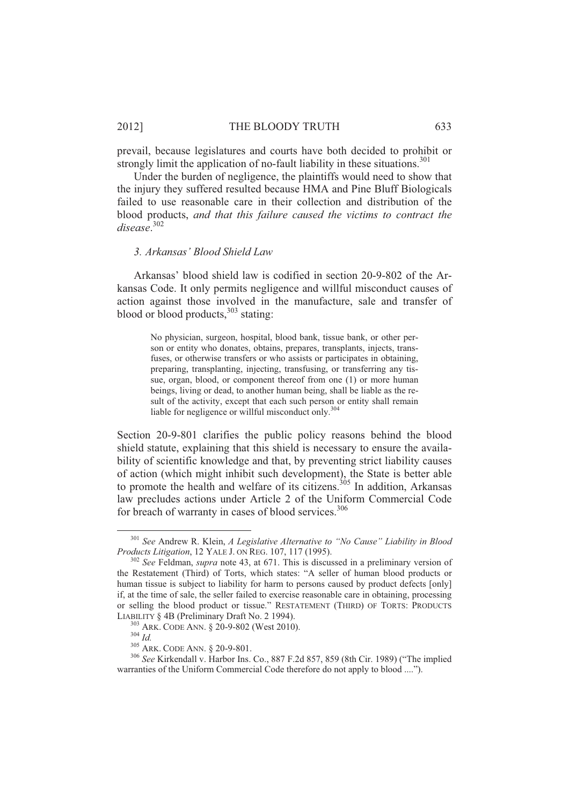#### 2012] THE BLOODY TRUTH 633

prevail, because legislatures and courts have both decided to prohibit or strongly limit the application of no-fault liability in these situations.<sup>301</sup>

Under the burden of negligence, the plaintiffs would need to show that the injury they suffered resulted because HMA and Pine Bluff Biologicals failed to use reasonable care in their collection and distribution of the blood products, *and that this failure caused the victims to contract the disease*. 302

#### *3. Arkansas' Blood Shield Law*

Arkansas' blood shield law is codified in section 20-9-802 of the Arkansas Code. It only permits negligence and willful misconduct causes of action against those involved in the manufacture, sale and transfer of blood or blood products, $303$  stating:

No physician, surgeon, hospital, blood bank, tissue bank, or other person or entity who donates, obtains, prepares, transplants, injects, transfuses, or otherwise transfers or who assists or participates in obtaining, preparing, transplanting, injecting, transfusing, or transferring any tissue, organ, blood, or component thereof from one (1) or more human beings, living or dead, to another human being, shall be liable as the result of the activity, except that each such person or entity shall remain liable for negligence or willful misconduct only.<sup>304</sup>

Section 20-9-801 clarifies the public policy reasons behind the blood shield statute, explaining that this shield is necessary to ensure the availability of scientific knowledge and that, by preventing strict liability causes of action (which might inhibit such development), the State is better able to promote the health and welfare of its citizens.<sup>305</sup> In addition, Arkansas law precludes actions under Article 2 of the Uniform Commercial Code for breach of warranty in cases of blood services.<sup>306</sup>

 $\overline{a}$ 

<sup>301</sup> *See* Andrew R. Klein, *A Legislative Alternative to "No Cause" Liability in Blood Products Litigation*, 12 YALE J. ON REG. 107, 117 (1995).

<sup>302</sup> *See* Feldman, *supra* note 43, at 671. This is discussed in a preliminary version of the Restatement (Third) of Torts, which states: "A seller of human blood products or human tissue is subject to liability for harm to persons caused by product defects [only] if, at the time of sale, the seller failed to exercise reasonable care in obtaining, processing or selling the blood product or tissue." RESTATEMENT (THIRD) OF TORTS: PRODUCTS LIABILITY § 4B (Preliminary Draft No. 2 1994).

<sup>303</sup> ARK. CODE ANN. § 20-9-802 (West 2010).

<sup>304</sup> *Id.*

<sup>&</sup>lt;sup>305</sup> ARK. CODE ANN. § 20-9-801.

<sup>306</sup> *See* Kirkendall v. Harbor Ins. Co., 887 F.2d 857, 859 (8th Cir. 1989) ("The implied warranties of the Uniform Commercial Code therefore do not apply to blood ....").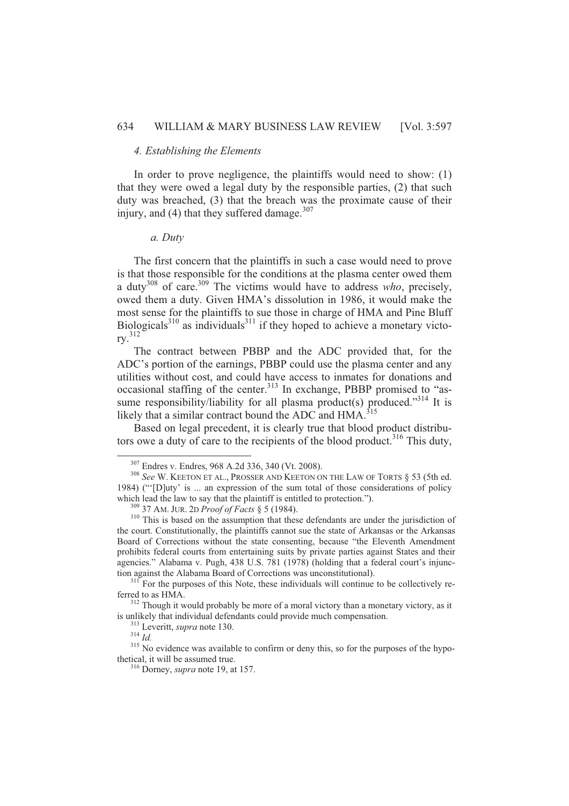# *4. Establishing the Elements*

In order to prove negligence, the plaintiffs would need to show: (1) that they were owed a legal duty by the responsible parties, (2) that such duty was breached, (3) that the breach was the proximate cause of their injury, and (4) that they suffered damage. $307$ 

# *a. Duty*

The first concern that the plaintiffs in such a case would need to prove is that those responsible for the conditions at the plasma center owed them a duty<sup>308</sup> of care.<sup>309</sup> The victims would have to address *who*, precisely, owed them a duty. Given HMA's dissolution in 1986, it would make the most sense for the plaintiffs to sue those in charge of HMA and Pine Bluff Biologicals $3^{310}$  as individuals $3^{311}$  if they hoped to achieve a monetary victory.<sup>312</sup>

The contract between PBBP and the ADC provided that, for the ADC's portion of the earnings, PBBP could use the plasma center and any utilities without cost, and could have access to inmates for donations and occasional staffing of the center.<sup>313</sup> In exchange, PBBP promised to "assume responsibility/liability for all plasma product(s) produced."<sup>314</sup> It is likely that a similar contract bound the ADC and HMA.<sup>315</sup>

Based on legal precedent, it is clearly true that blood product distributors owe a duty of care to the recipients of the blood product.<sup>316</sup> This duty,

<sup>307</sup> Endres v. Endres, 968 A.2d 336, 340 (Vt. 2008).

<sup>308</sup> *See* W. KEETON ET AL., PROSSER AND KEETON ON THE LAW OF TORTS § 53 (5th ed. 1984) ("'[D]uty' is ... an expression of the sum total of those considerations of policy which lead the law to say that the plaintiff is entitled to protection.").

<sup>309</sup> 37 AM. JUR. 2D *Proof of Facts* § 5 (1984).

<sup>&</sup>lt;sup>310</sup> This is based on the assumption that these defendants are under the jurisdiction of the court. Constitutionally, the plaintiffs cannot sue the state of Arkansas or the Arkansas Board of Corrections without the state consenting, because "the Eleventh Amendment prohibits federal courts from entertaining suits by private parties against States and their agencies." Alabama v. Pugh, 438 U.S. 781 (1978) (holding that a federal court's injunction against the Alabama Board of Corrections was unconstitutional).

 $311$  For the purposes of this Note, these individuals will continue to be collectively referred to as HMA.

<sup>&</sup>lt;sup>312</sup> Though it would probably be more of a moral victory than a monetary victory, as it is unlikely that individual defendants could provide much compensation.

<sup>313</sup> Leveritt, *supra* note 130.

<sup>314</sup> *Id.*

<sup>&</sup>lt;sup>315</sup> No evidence was available to confirm or deny this, so for the purposes of the hypothetical, it will be assumed true.

<sup>316</sup> Dorney, *supra* note 19, at 157.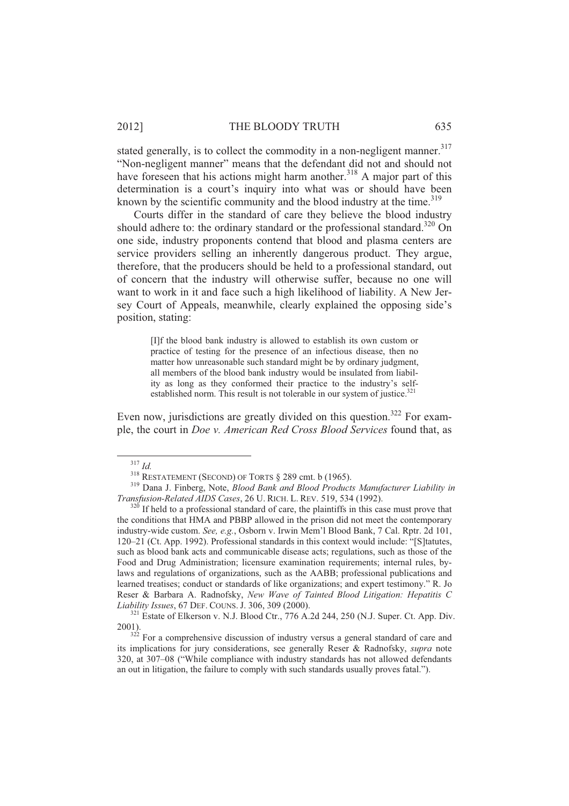# 2012] THE BLOODY TRUTH 635

stated generally, is to collect the commodity in a non-negligent manner.<sup>317</sup> "Non-negligent manner" means that the defendant did not and should not have foreseen that his actions might harm another.<sup>318</sup> A major part of this determination is a court's inquiry into what was or should have been known by the scientific community and the blood industry at the time. $319$ 

Courts differ in the standard of care they believe the blood industry should adhere to: the ordinary standard or the professional standard.<sup>320</sup> On one side, industry proponents contend that blood and plasma centers are service providers selling an inherently dangerous product. They argue, therefore, that the producers should be held to a professional standard, out of concern that the industry will otherwise suffer, because no one will want to work in it and face such a high likelihood of liability. A New Jersey Court of Appeals, meanwhile, clearly explained the opposing side's position, stating:

[I]f the blood bank industry is allowed to establish its own custom or practice of testing for the presence of an infectious disease, then no matter how unreasonable such standard might be by ordinary judgment, all members of the blood bank industry would be insulated from liability as long as they conformed their practice to the industry's selfestablished norm. This result is not tolerable in our system of justice.<sup>321</sup>

Even now, jurisdictions are greatly divided on this question.<sup>322</sup> For example, the court in *Doe v. American Red Cross Blood Services* found that, as

<sup>317</sup> *Id.*

 $318$  RESTATEMENT (SECOND) OF TORTS  $\S$  289 cmt. b (1965).

<sup>319</sup> Dana J. Finberg, Note, *Blood Bank and Blood Products Manufacturer Liability in Transfusion-Related AIDS Cases*, 26 U. RICH.L. REV. 519, 534 (1992).

 $320$  If held to a professional standard of care, the plaintiffs in this case must prove that the conditions that HMA and PBBP allowed in the prison did not meet the contemporary industry-wide custom. *See, e.g.*, Osborn v. Irwin Mem'l Blood Bank, 7 Cal. Rptr. 2d 101, 120–21 (Ct. App. 1992). Professional standards in this context would include: "[S]tatutes, such as blood bank acts and communicable disease acts; regulations, such as those of the Food and Drug Administration; licensure examination requirements; internal rules, bylaws and regulations of organizations, such as the AABB; professional publications and learned treatises; conduct or standards of like organizations; and expert testimony." R. Jo Reser & Barbara A. Radnofsky, *New Wave of Tainted Blood Litigation: Hepatitis C Liability Issues*, 67 DEF. COUNS. J. 306, 309 (2000).

 $321$  Estate of Elkerson v. N.J. Blood Ctr., 776 A.2d 244, 250 (N.J. Super. Ct. App. Div. 2001).

 $3^{322}$  For a comprehensive discussion of industry versus a general standard of care and its implications for jury considerations, see generally Reser & Radnofsky, *supra* note 320, at 307–08 ("While compliance with industry standards has not allowed defendants an out in litigation, the failure to comply with such standards usually proves fatal.").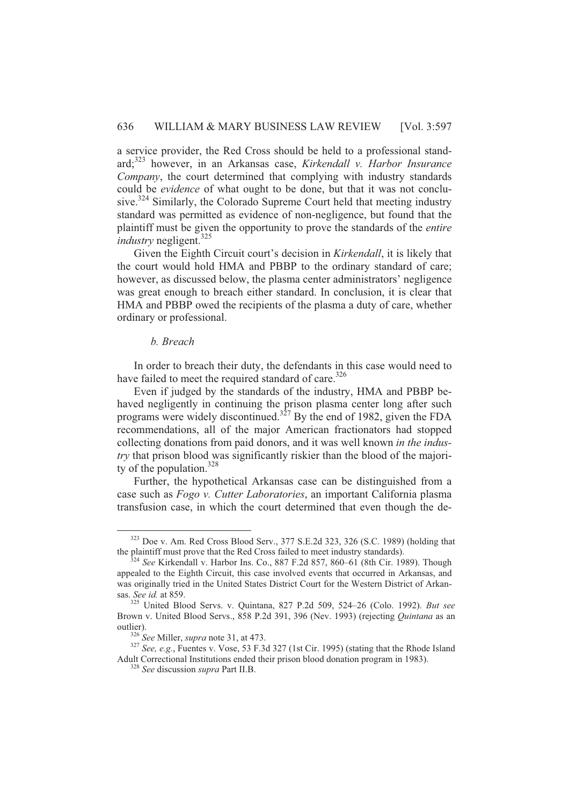a service provider, the Red Cross should be held to a professional standard;<sup>323</sup> however, in an Arkansas case, *Kirkendall v. Harbor Insurance Company*, the court determined that complying with industry standards could be *evidence* of what ought to be done, but that it was not conclusive.<sup>324</sup> Similarly, the Colorado Supreme Court held that meeting industry standard was permitted as evidence of non-negligence, but found that the plaintiff must be given the opportunity to prove the standards of the *entire industry* negligent.<sup>325</sup>

Given the Eighth Circuit court's decision in *Kirkendall*, it is likely that the court would hold HMA and PBBP to the ordinary standard of care; however, as discussed below, the plasma center administrators' negligence was great enough to breach either standard. In conclusion, it is clear that HMA and PBBP owed the recipients of the plasma a duty of care, whether ordinary or professional.

# *b. Breach*

 $\overline{a}$ 

In order to breach their duty, the defendants in this case would need to have failed to meet the required standard of care.<sup>326</sup>

Even if judged by the standards of the industry, HMA and PBBP behaved negligently in continuing the prison plasma center long after such programs were widely discontinued.<sup>327</sup> By the end of 1982, given the FDA recommendations, all of the major American fractionators had stopped collecting donations from paid donors, and it was well known *in the industry* that prison blood was significantly riskier than the blood of the majority of the population.<sup>328</sup>

Further, the hypothetical Arkansas case can be distinguished from a case such as *Fogo v. Cutter Laboratories*, an important California plasma transfusion case, in which the court determined that even though the de-

<sup>323</sup> Doe v. Am. Red Cross Blood Serv., 377 S.E.2d 323, 326 (S.C. 1989) (holding that the plaintiff must prove that the Red Cross failed to meet industry standards).

<sup>324</sup> *See* Kirkendall v. Harbor Ins. Co., 887 F.2d 857, 860–61 (8th Cir. 1989). Though appealed to the Eighth Circuit, this case involved events that occurred in Arkansas, and was originally tried in the United States District Court for the Western District of Arkansas. *See id.* at 859.

<sup>325</sup> United Blood Servs. v. Quintana, 827 P.2d 509, 524–26 (Colo. 1992). *But see* Brown v. United Blood Servs., 858 P.2d 391, 396 (Nev. 1993) (rejecting *Quintana* as an outlier).

<sup>326</sup> *See* Miller, *supra* note 31, at 473.

<sup>327</sup> *See, e.g.*, Fuentes v. Vose, 53 F.3d 327 (1st Cir. 1995) (stating that the Rhode Island Adult Correctional Institutions ended their prison blood donation program in 1983).

<sup>328</sup> *See* discussion *supra* Part II.B.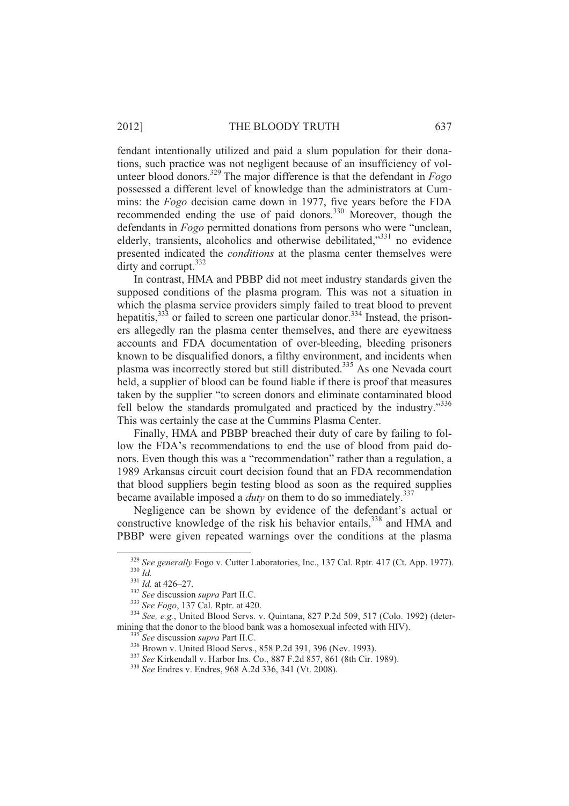fendant intentionally utilized and paid a slum population for their donations, such practice was not negligent because of an insufficiency of volunteer blood donors.<sup>329</sup> The major difference is that the defendant in *Fogo* possessed a different level of knowledge than the administrators at Cummins: the *Fogo* decision came down in 1977, five years before the FDA recommended ending the use of paid donors.<sup>330</sup> Moreover, though the defendants in *Fogo* permitted donations from persons who were "unclean, elderly, transients, alcoholics and otherwise debilitated,"<sup>331</sup> no evidence presented indicated the *conditions* at the plasma center themselves were dirty and corrupt.<sup>332</sup>

In contrast, HMA and PBBP did not meet industry standards given the supposed conditions of the plasma program. This was not a situation in which the plasma service providers simply failed to treat blood to prevent hepatitis, $33\frac{3}{3}$  or failed to screen one particular donor.<sup>334</sup> Instead, the prisoners allegedly ran the plasma center themselves, and there are eyewitness accounts and FDA documentation of over-bleeding, bleeding prisoners known to be disqualified donors, a filthy environment, and incidents when plasma was incorrectly stored but still distributed. <sup>335</sup> As one Nevada court held, a supplier of blood can be found liable if there is proof that measures taken by the supplier "to screen donors and eliminate contaminated blood fell below the standards promulgated and practiced by the industry."<sup>336</sup> This was certainly the case at the Cummins Plasma Center.

Finally, HMA and PBBP breached their duty of care by failing to follow the FDA's recommendations to end the use of blood from paid donors. Even though this was a "recommendation" rather than a regulation, a 1989 Arkansas circuit court decision found that an FDA recommendation that blood suppliers begin testing blood as soon as the required supplies became available imposed a *duty* on them to do so immediately.<sup>337</sup>

Negligence can be shown by evidence of the defendant's actual or constructive knowledge of the risk his behavior entails,<sup>338</sup> and HMA and PBBP were given repeated warnings over the conditions at the plasma

<sup>329</sup> *See generally* Fogo v. Cutter Laboratories, Inc., 137 Cal. Rptr. 417 (Ct. App. 1977). <sup>330</sup> *Id.*

<sup>331</sup> *Id.* at 426–27.

<sup>332</sup> *See* discussion *supra* Part II.C.

<sup>333</sup> *See Fogo*, 137 Cal. Rptr. at 420.

<sup>334</sup> *See, e.g.*, United Blood Servs. v. Quintana, 827 P.2d 509, 517 (Colo. 1992) (determining that the donor to the blood bank was a homosexual infected with HIV).

<sup>335</sup> *See* discussion *supra* Part II.C.

<sup>336</sup> Brown v. United Blood Servs., 858 P.2d 391, 396 (Nev. 1993).

<sup>337</sup> *See* Kirkendall v. Harbor Ins. Co., 887 F.2d 857, 861 (8th Cir. 1989).

<sup>338</sup> *See* Endres v. Endres, 968 A.2d 336, 341 (Vt. 2008).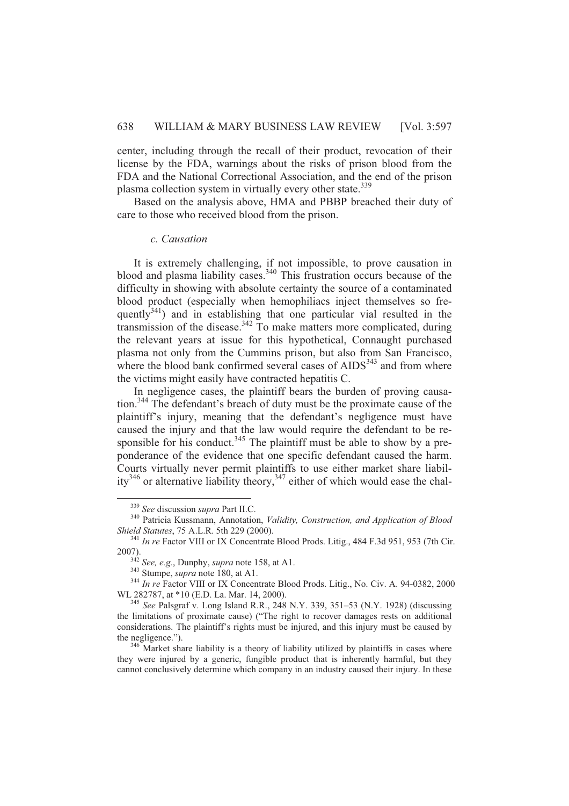center, including through the recall of their product, revocation of their license by the FDA, warnings about the risks of prison blood from the FDA and the National Correctional Association, and the end of the prison plasma collection system in virtually every other state.<sup>339</sup>

Based on the analysis above, HMA and PBBP breached their duty of care to those who received blood from the prison.

#### *c. Causation*

It is extremely challenging, if not impossible, to prove causation in blood and plasma liability cases. $340$  This frustration occurs because of the difficulty in showing with absolute certainty the source of a contaminated blood product (especially when hemophiliacs inject themselves so frequently<sup>341</sup>) and in establishing that one particular vial resulted in the transmission of the disease.<sup>342</sup> To make matters more complicated, during the relevant years at issue for this hypothetical, Connaught purchased plasma not only from the Cummins prison, but also from San Francisco, where the blood bank confirmed several cases of AIDS<sup>343</sup> and from where the victims might easily have contracted hepatitis C.

In negligence cases, the plaintiff bears the burden of proving causation.<sup>344</sup> The defendant's breach of duty must be the proximate cause of the plaintiff's injury, meaning that the defendant's negligence must have caused the injury and that the law would require the defendant to be responsible for his conduct.<sup>345</sup> The plaintiff must be able to show by a preponderance of the evidence that one specific defendant caused the harm. Courts virtually never permit plaintiffs to use either market share liability<sup>346</sup> or alternative liability theory,<sup>347</sup> either of which would ease the chal-

<sup>339</sup> *See* discussion *supra* Part II.C.

<sup>340</sup> Patricia Kussmann, Annotation, *Validity, Construction, and Application of Blood Shield Statutes*, 75 A.L.R. 5th 229 (2000).

<sup>&</sup>lt;sup>341</sup> *In re* Factor VIII or IX Concentrate Blood Prods. Litig., 484 F.3d 951, 953 (7th Cir. 2007).

<sup>342</sup> *See, e.g.*, Dunphy, *supra* note 158, at A1.

<sup>343</sup> Stumpe, *supra* note 180, at A1.

<sup>&</sup>lt;sup>344</sup> *In re* Factor VIII or IX Concentrate Blood Prods. Litig., No. Civ. A. 94-0382, 2000 WL 282787, at \*10 (E.D. La. Mar. 14, 2000).

<sup>345</sup> *See* Palsgraf v. Long Island R.R., 248 N.Y. 339, 351–53 (N.Y. 1928) (discussing the limitations of proximate cause) ("The right to recover damages rests on additional considerations. The plaintiff's rights must be injured, and this injury must be caused by the negligence.").

 $346$  Market share liability is a theory of liability utilized by plaintiffs in cases where they were injured by a generic, fungible product that is inherently harmful, but they cannot conclusively determine which company in an industry caused their injury. In these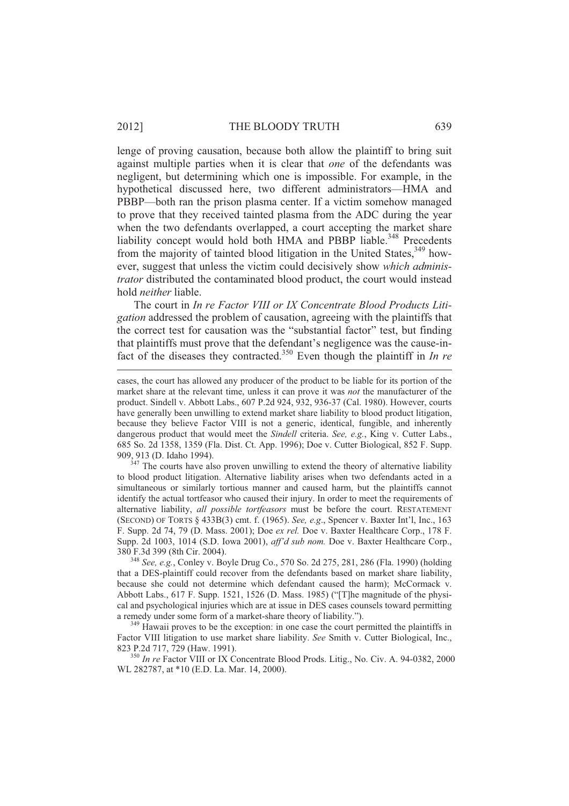#### 2012] THE BLOODY TRUTH 639

lenge of proving causation, because both allow the plaintiff to bring suit against multiple parties when it is clear that *one* of the defendants was negligent, but determining which one is impossible. For example, in the hypothetical discussed here, two different administrators—HMA and PBBP—both ran the prison plasma center. If a victim somehow managed to prove that they received tainted plasma from the ADC during the year when the two defendants overlapped, a court accepting the market share liability concept would hold both HMA and PBBP liable.<sup>348</sup> Precedents from the majority of tainted blood litigation in the United States,<sup>349</sup> however, suggest that unless the victim could decisively show *which administrator* distributed the contaminated blood product, the court would instead hold *neither* liable.

The court in *In re Factor VIII or IX Concentrate Blood Products Litigation* addressed the problem of causation, agreeing with the plaintiffs that the correct test for causation was the "substantial factor" test, but finding that plaintiffs must prove that the defendant's negligence was the cause-infact of the diseases they contracted.<sup>350</sup> Even though the plaintiff in *In re* 

 $347$  The courts have also proven unwilling to extend the theory of alternative liability to blood product litigation. Alternative liability arises when two defendants acted in a simultaneous or similarly tortious manner and caused harm, but the plaintiffs cannot identify the actual tortfeasor who caused their injury. In order to meet the requirements of alternative liability, *all possible tortfeasors* must be before the court. RESTATEMENT (SECOND) OF TORTS § 433B(3) cmt. f. (1965). *See, e.g*., Spencer v. Baxter Int'l, Inc., 163 F. Supp. 2d 74, 79 (D. Mass. 2001); Doe *ex rel.* Doe v. Baxter Healthcare Corp., 178 F. Supp. 2d 1003, 1014 (S.D. Iowa 2001), *aff'd sub nom.* Doe v. Baxter Healthcare Corp., 380 F.3d 399 (8th Cir. 2004).

<sup>348</sup> *See, e.g.*, Conley v. Boyle Drug Co., 570 So. 2d 275, 281, 286 (Fla. 1990) (holding that a DES-plaintiff could recover from the defendants based on market share liability, because she could not determine which defendant caused the harm); McCormack v. Abbott Labs., 617 F. Supp. 1521, 1526 (D. Mass. 1985) ("[T]he magnitude of the physical and psychological injuries which are at issue in DES cases counsels toward permitting a remedy under some form of a market-share theory of liability.").

<sup>349</sup> Hawaii proves to be the exception: in one case the court permitted the plaintiffs in Factor VIII litigation to use market share liability. *See* Smith v. Cutter Biological, Inc., 823 P.2d 717, 729 (Haw. 1991).

<sup>350</sup> *In re* Factor VIII or IX Concentrate Blood Prods. Litig., No. Civ. A. 94-0382, 2000 WL 282787, at \*10 (E.D. La. Mar. 14, 2000).

cases, the court has allowed any producer of the product to be liable for its portion of the market share at the relevant time, unless it can prove it was *not* the manufacturer of the product. Sindell v. Abbott Labs., 607 P.2d 924, 932, 936-37 (Cal. 1980). However, courts have generally been unwilling to extend market share liability to blood product litigation, because they believe Factor VIII is not a generic, identical, fungible, and inherently dangerous product that would meet the *Sindell* criteria. *See, e.g.*, King v. Cutter Labs., 685 So. 2d 1358, 1359 (Fla. Dist. Ct. App. 1996); Doe v. Cutter Biological, 852 F. Supp. 909, 913 (D. Idaho 1994).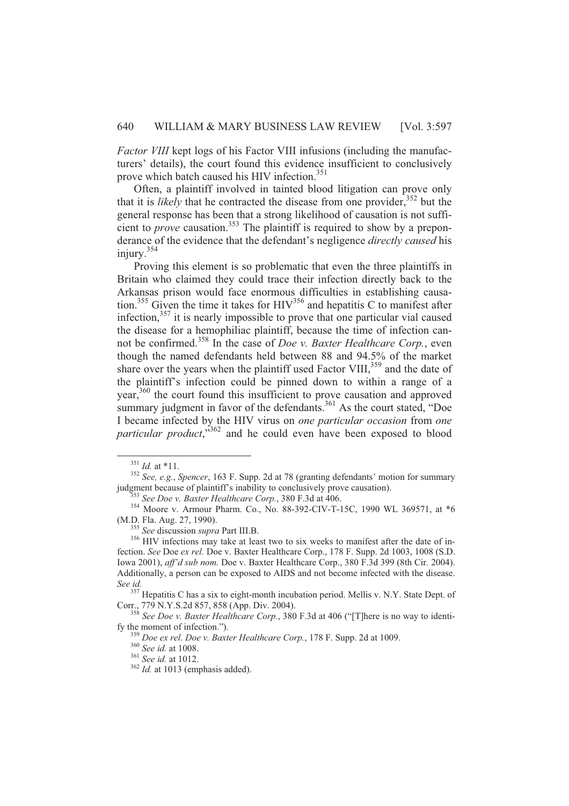*Factor VIII* kept logs of his Factor VIII infusions (including the manufacturers' details), the court found this evidence insufficient to conclusively prove which batch caused his HIV infection.<sup>351</sup>

Often, a plaintiff involved in tainted blood litigation can prove only that it is *likely* that he contracted the disease from one provider,<sup>352</sup> but the general response has been that a strong likelihood of causation is not sufficient to *prove* causation.<sup>353</sup> The plaintiff is required to show by a preponderance of the evidence that the defendant's negligence *directly caused* his injury.<sup>354</sup>

Proving this element is so problematic that even the three plaintiffs in Britain who claimed they could trace their infection directly back to the Arkansas prison would face enormous difficulties in establishing causation.<sup>355</sup> Given the time it takes for  $HIV<sup>356</sup>$  and hepatitis C to manifest after infection, $357$  it is nearly impossible to prove that one particular vial caused the disease for a hemophiliac plaintiff, because the time of infection cannot be confirmed.<sup>358</sup> In the case of *Doe v. Baxter Healthcare Corp.*, even though the named defendants held between 88 and 94.5% of the market share over the years when the plaintiff used Factor VIII, $^{359}$  and the date of the plaintiff's infection could be pinned down to within a range of a year,<sup>360</sup> the court found this insufficient to prove causation and approved summary judgment in favor of the defendants.<sup>361</sup> As the court stated, "Doe I became infected by the HIV virus on *one particular occasion* from *one particular product*,"<sup>362</sup> and he could even have been exposed to blood

l

<sup>355</sup> *See* discussion *supra* Part III.B.

<sup>351</sup> *Id.* at \*11.

<sup>352</sup> *See, e.g.*, *Spencer*, 163 F. Supp. 2d at 78 (granting defendants' motion for summary judgment because of plaintiff's inability to conclusively prove causation).

<sup>353</sup> *See Doe v. Baxter Healthcare Corp.*, 380 F.3d at 406.

<sup>354</sup> Moore v. Armour Pharm. Co., No. 88-392-CIV-T-15C, 1990 WL 369571, at \*6 (M.D. Fla. Aug. 27, 1990).

<sup>&</sup>lt;sup>356</sup> HIV infections may take at least two to six weeks to manifest after the date of infection. *See* Doe *ex rel.* Doe v. Baxter Healthcare Corp., 178 F. Supp. 2d 1003, 1008 (S.D. Iowa 2001), *aff'd sub nom.* Doe v. Baxter Healthcare Corp., 380 F.3d 399 (8th Cir. 2004). Additionally, a person can be exposed to AIDS and not become infected with the disease. *See id.*

<sup>&</sup>lt;sup>357</sup> Hepatitis C has a six to eight-month incubation period. Mellis v. N.Y. State Dept. of Corr., 779 N.Y.S.2d 857, 858 (App. Div. 2004).

<sup>358</sup> *See Doe v. Baxter Healthcare Corp.*, 380 F.3d at 406 ("[T]here is no way to identify the moment of infection.").

<sup>359</sup> *Doe ex rel*. *Doe v. Baxter Healthcare Corp.*, 178 F. Supp. 2d at 1009.

<sup>360</sup> *See id.* at 1008.

<sup>361</sup> *See id.* at 1012.

<sup>&</sup>lt;sup>362</sup> Id. at 1013 (emphasis added).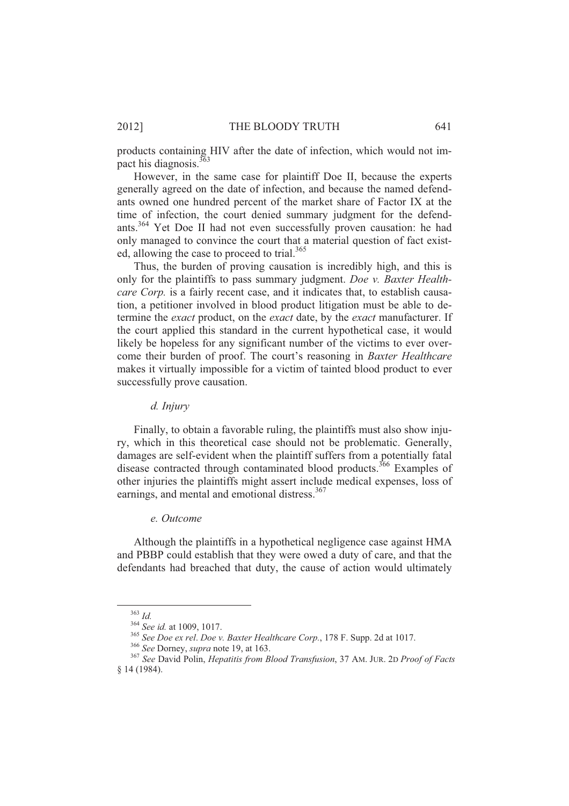products containing HIV after the date of infection, which would not impact his diagnosis.<sup>363</sup>

However, in the same case for plaintiff Doe II, because the experts generally agreed on the date of infection, and because the named defendants owned one hundred percent of the market share of Factor IX at the time of infection, the court denied summary judgment for the defendants.<sup>364</sup> Yet Doe II had not even successfully proven causation: he had only managed to convince the court that a material question of fact existed, allowing the case to proceed to trial.<sup>365</sup>

Thus, the burden of proving causation is incredibly high, and this is only for the plaintiffs to pass summary judgment. *Doe v. Baxter Healthcare Corp.* is a fairly recent case, and it indicates that, to establish causation, a petitioner involved in blood product litigation must be able to determine the *exact* product, on the *exact* date, by the *exact* manufacturer. If the court applied this standard in the current hypothetical case, it would likely be hopeless for any significant number of the victims to ever overcome their burden of proof. The court's reasoning in *Baxter Healthcare* makes it virtually impossible for a victim of tainted blood product to ever successfully prove causation.

# *d. Injury*

Finally, to obtain a favorable ruling, the plaintiffs must also show injury, which in this theoretical case should not be problematic. Generally, damages are self-evident when the plaintiff suffers from a potentially fatal disease contracted through contaminated blood products.<sup>366</sup> Examples of other injuries the plaintiffs might assert include medical expenses, loss of earnings, and mental and emotional distress.<sup>367</sup>

#### *e. Outcome*

Although the plaintiffs in a hypothetical negligence case against HMA and PBBP could establish that they were owed a duty of care, and that the defendants had breached that duty, the cause of action would ultimately

<sup>363</sup> *Id.*

<sup>364</sup> *See id.* at 1009, 1017.

<sup>365</sup> *See Doe ex rel*. *Doe v. Baxter Healthcare Corp.*, 178 F. Supp. 2d at 1017.

<sup>366</sup> *See* Dorney, *supra* note 19, at 163.

<sup>367</sup> *See* David Polin, *Hepatitis from Blood Transfusion*, 37 AM. JUR. 2D *Proof of Facts* § 14 (1984).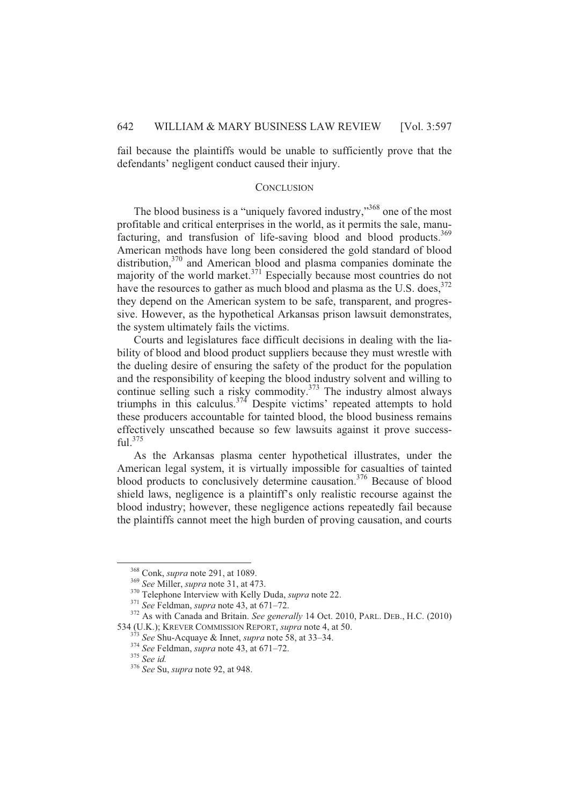fail because the plaintiffs would be unable to sufficiently prove that the defendants' negligent conduct caused their injury.

## **CONCLUSION**

The blood business is a "uniquely favored industry,"<sup>368</sup> one of the most profitable and critical enterprises in the world, as it permits the sale, manufacturing, and transfusion of life-saving blood and blood products.<sup>369</sup> American methods have long been considered the gold standard of blood distribution,<sup>370</sup> and American blood and plasma companies dominate the majority of the world market. $371$  Especially because most countries do not have the resources to gather as much blood and plasma as the U.S. does,  $372$ they depend on the American system to be safe, transparent, and progressive. However, as the hypothetical Arkansas prison lawsuit demonstrates, the system ultimately fails the victims.

Courts and legislatures face difficult decisions in dealing with the liability of blood and blood product suppliers because they must wrestle with the dueling desire of ensuring the safety of the product for the population and the responsibility of keeping the blood industry solvent and willing to continue selling such a risky commodity.<sup>373</sup> The industry almost always triumphs in this calculus.<sup>374</sup> Despite victims' repeated attempts to hold these producers accountable for tainted blood, the blood business remains effectively unscathed because so few lawsuits against it prove success $f_{11}$ <sup>375</sup>

As the Arkansas plasma center hypothetical illustrates, under the American legal system, it is virtually impossible for casualties of tainted blood products to conclusively determine causation.<sup>376</sup> Because of blood shield laws, negligence is a plaintiff's only realistic recourse against the blood industry; however, these negligence actions repeatedly fail because the plaintiffs cannot meet the high burden of proving causation, and courts

<sup>368</sup> Conk, *supra* note 291, at 1089.

<sup>369</sup> *See* Miller, *supra* note 31, at 473.

<sup>370</sup> Telephone Interview with Kelly Duda, *supra* note 22.

<sup>371</sup> *See* Feldman, *supra* note 43, at 671–72.

<sup>372</sup> As with Canada and Britain. *See generally* 14 Oct. 2010, PARL. DEB., H.C. (2010) 534 (U.K.); KREVER COMMISSION REPORT, *supra* note 4, at 50.

<sup>373</sup> *See* Shu-Acquaye & Innet, *supra* note 58, at 33–34.

<sup>374</sup> *See* Feldman, *supra* note 43, at 671–72.

<sup>375</sup> *See id.*

<sup>376</sup> *See* Su, *supra* note 92, at 948.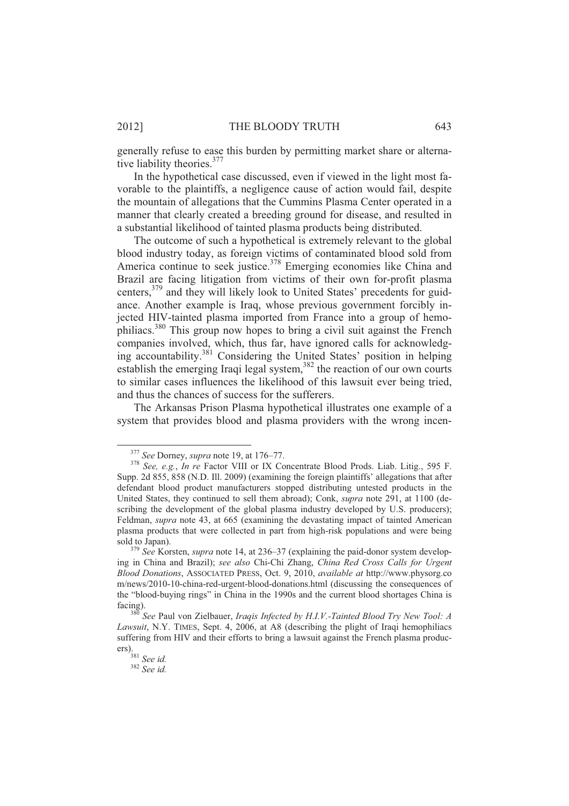generally refuse to ease this burden by permitting market share or alternative liability theories.<sup>377</sup>

In the hypothetical case discussed, even if viewed in the light most favorable to the plaintiffs, a negligence cause of action would fail, despite the mountain of allegations that the Cummins Plasma Center operated in a manner that clearly created a breeding ground for disease, and resulted in a substantial likelihood of tainted plasma products being distributed.

The outcome of such a hypothetical is extremely relevant to the global blood industry today, as foreign victims of contaminated blood sold from America continue to seek justice.<sup>378</sup> Emerging economies like China and Brazil are facing litigation from victims of their own for-profit plasma centers,<sup>379</sup> and they will likely look to United States' precedents for guidance. Another example is Iraq, whose previous government forcibly injected HIV-tainted plasma imported from France into a group of hemophiliacs.<sup>380</sup> This group now hopes to bring a civil suit against the French companies involved, which, thus far, have ignored calls for acknowledging accountability.<sup>381</sup> Considering the United States' position in helping establish the emerging Iraqi legal system,<sup>382</sup> the reaction of our own courts to similar cases influences the likelihood of this lawsuit ever being tried, and thus the chances of success for the sufferers.

The Arkansas Prison Plasma hypothetical illustrates one example of a system that provides blood and plasma providers with the wrong incen-

<sup>377</sup> *See* Dorney, *supra* note 19, at 176–77.

<sup>378</sup> *See, e.g.*, *In re* Factor VIII or IX Concentrate Blood Prods. Liab. Litig., 595 F. Supp. 2d 855, 858 (N.D. Ill. 2009) (examining the foreign plaintiffs' allegations that after defendant blood product manufacturers stopped distributing untested products in the United States, they continued to sell them abroad); Conk, *supra* note 291, at 1100 (describing the development of the global plasma industry developed by U.S. producers); Feldman, *supra* note 43, at 665 (examining the devastating impact of tainted American plasma products that were collected in part from high-risk populations and were being sold to Japan).

<sup>379</sup> *See* Korsten, *supra* note 14, at 236–37 (explaining the paid-donor system developing in China and Brazil); *see also* Chi-Chi Zhang, *China Red Cross Calls for Urgent Blood Donations*, ASSOCIATED PRESS, Oct. 9, 2010, *available at* http://www.physorg.co m/news/2010-10-china-red-urgent-blood-donations.html (discussing the consequences of the "blood-buying rings" in China in the 1990s and the current blood shortages China is facing).

<sup>380</sup> *See* Paul von Zielbauer, *Iraqis Infected by H.I.V.-Tainted Blood Try New Tool: A Lawsuit*, N.Y. TIMES, Sept. 4, 2006, at A8 (describing the plight of Iraqi hemophiliacs suffering from HIV and their efforts to bring a lawsuit against the French plasma producers).

<sup>381</sup> *See id.*

<sup>382</sup> *See id.*